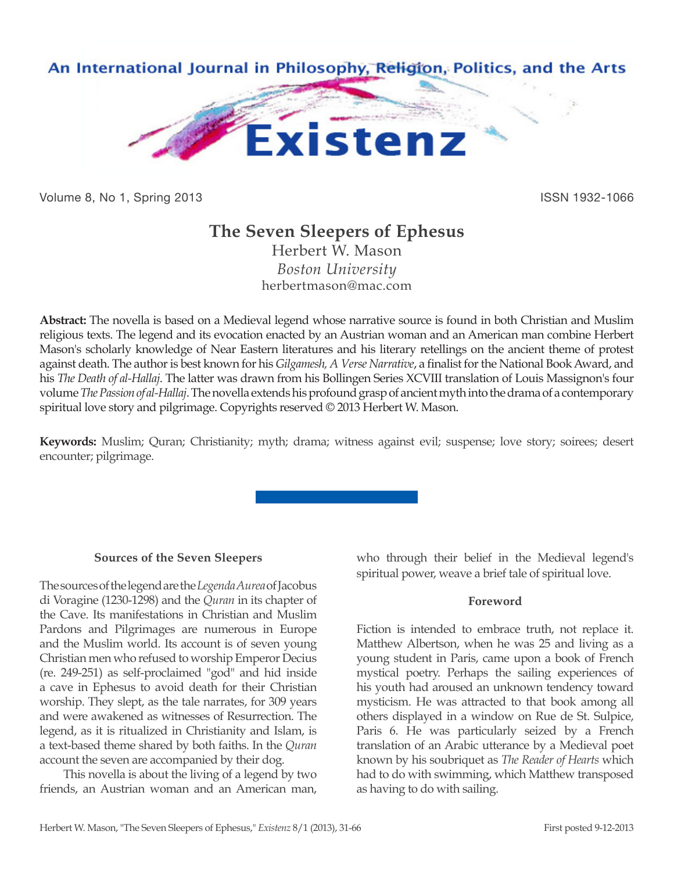

Volume 8, No 1, Spring 2013 **ISSN 1932-1066** ISSN 1932-1066

# **The Seven Sleepers of Ephesus**

Herbert W. Mason *Boston University* herbertmason@mac.com

**Abstract:** The novella is based on a Medieval legend whose narrative source is found in both Christian and Muslim religious texts. The legend and its evocation enacted by an Austrian woman and an American man combine Herbert Mason's scholarly knowledge of Near Eastern literatures and his literary retellings on the ancient theme of protest against death. The author is best known for his *Gilgamesh, A Verse Narrative*, a finalist for the National Book Award, and his *The Death of al-Hallaj*. The latter was drawn from his Bollingen Series XCVIII translation of Louis Massignon's four volume *The Passion of al-Hallaj*. The novella extends his profound grasp of ancient myth into the drama of a contemporary spiritual love story and pilgrimage. Copyrights reserved © 2013 Herbert W. Mason.

**Keywords:** Muslim; Quran; Christianity; myth; drama; witness against evil; suspense; love story; soirees; desert encounter; pilgrimage.

# **Sources of the Seven Sleepers**

The sources of the legend are the *Legenda Aurea* of Jacobus di Voragine (1230-1298) and the *Quran* in its chapter of the Cave. Its manifestations in Christian and Muslim Pardons and Pilgrimages are numerous in Europe and the Muslim world. Its account is of seven young Christian men who refused to worship Emperor Decius (re. 249-251) as self-proclaimed "god" and hid inside a cave in Ephesus to avoid death for their Christian worship. They slept, as the tale narrates, for 309 years and were awakened as witnesses of Resurrection. The legend, as it is ritualized in Christianity and Islam, is a text-based theme shared by both faiths. In the *Quran* account the seven are accompanied by their dog.

This novella is about the living of a legend by two friends, an Austrian woman and an American man, who through their belief in the Medieval legend's spiritual power, weave a brief tale of spiritual love.

# **Foreword**

Fiction is intended to embrace truth, not replace it. Matthew Albertson, when he was 25 and living as a young student in Paris, came upon a book of French mystical poetry. Perhaps the sailing experiences of his youth had aroused an unknown tendency toward mysticism. He was attracted to that book among all others displayed in a window on Rue de St. Sulpice, Paris 6. He was particularly seized by a French translation of an Arabic utterance by a Medieval poet known by his soubriquet as *The Reader of Hearts* which had to do with swimming, which Matthew transposed as having to do with sailing.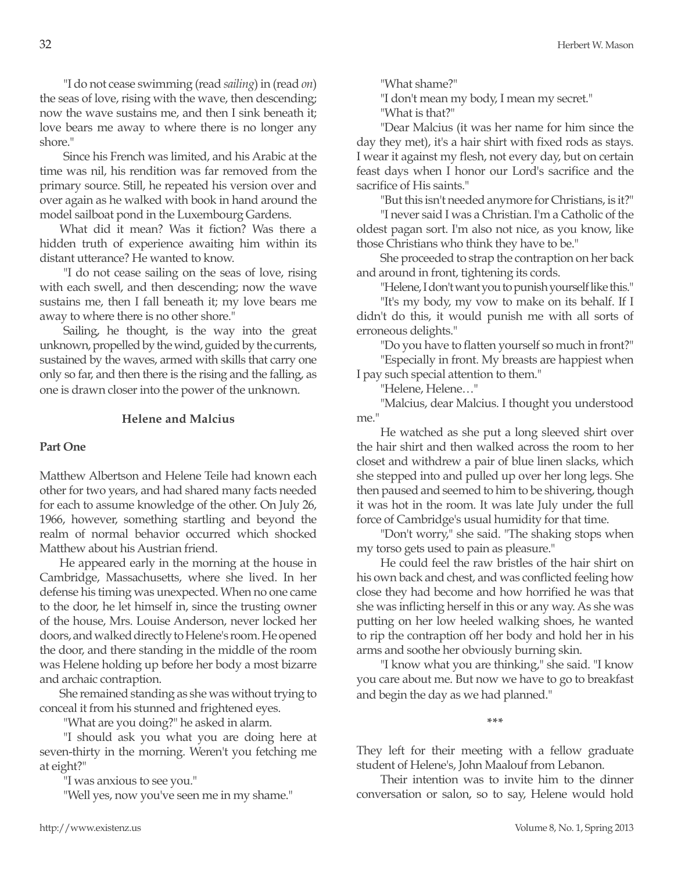"I do not cease swimming (read *sailing*) in (read *on*) the seas of love, rising with the wave, then descending; now the wave sustains me, and then I sink beneath it; love bears me away to where there is no longer any shore."

Since his French was limited, and his Arabic at the time was nil, his rendition was far removed from the primary source. Still, he repeated his version over and over again as he walked with book in hand around the model sailboat pond in the Luxembourg Gardens.

What did it mean? Was it fiction? Was there a hidden truth of experience awaiting him within its distant utterance? He wanted to know.

"I do not cease sailing on the seas of love, rising with each swell, and then descending; now the wave sustains me, then I fall beneath it; my love bears me away to where there is no other shore."

Sailing, he thought, is the way into the great unknown, propelled by the wind, guided by the currents, sustained by the waves, armed with skills that carry one only so far, and then there is the rising and the falling, as one is drawn closer into the power of the unknown.

#### **Helene and Malcius**

#### **Part One**

Matthew Albertson and Helene Teile had known each other for two years, and had shared many facts needed for each to assume knowledge of the other. On July 26, 1966, however, something startling and beyond the realm of normal behavior occurred which shocked Matthew about his Austrian friend.

He appeared early in the morning at the house in Cambridge, Massachusetts, where she lived. In her defense his timing was unexpected. When no one came to the door, he let himself in, since the trusting owner of the house, Mrs. Louise Anderson, never locked her doors, and walked directly to Helene's room. He opened the door, and there standing in the middle of the room was Helene holding up before her body a most bizarre and archaic contraption.

She remained standing as she was without trying to conceal it from his stunned and frightened eyes.

"What are you doing?" he asked in alarm.

"I should ask you what you are doing here at seven-thirty in the morning. Weren't you fetching me at eight?"

"I was anxious to see you."

"Well yes, now you've seen me in my shame."

"What shame?"

"I don't mean my body, I mean my secret."

"What is that?"

"Dear Malcius (it was her name for him since the day they met), it's a hair shirt with fixed rods as stays. I wear it against my flesh, not every day, but on certain feast days when I honor our Lord's sacrifice and the sacrifice of His saints."

"But this isn't needed anymore for Christians, is it?"

"I never said I was a Christian. I'm a Catholic of the oldest pagan sort. I'm also not nice, as you know, like those Christians who think they have to be."

She proceeded to strap the contraption on her back and around in front, tightening its cords.

"Helene, I don't want you to punish yourself like this."

"It's my body, my vow to make on its behalf. If I didn't do this, it would punish me with all sorts of erroneous delights."

"Do you have to flatten yourself so much in front?" "Especially in front. My breasts are happiest when I pay such special attention to them."

"Helene, Helene…"

"Malcius, dear Malcius. I thought you understood me."

He watched as she put a long sleeved shirt over the hair shirt and then walked across the room to her closet and withdrew a pair of blue linen slacks, which she stepped into and pulled up over her long legs. She then paused and seemed to him to be shivering, though it was hot in the room. It was late July under the full force of Cambridge's usual humidity for that time.

"Don't worry," she said. "The shaking stops when my torso gets used to pain as pleasure."

He could feel the raw bristles of the hair shirt on his own back and chest, and was conflicted feeling how close they had become and how horrified he was that she was inflicting herself in this or any way. As she was putting on her low heeled walking shoes, he wanted to rip the contraption off her body and hold her in his arms and soothe her obviously burning skin.

"I know what you are thinking," she said. "I know you care about me. But now we have to go to breakfast and begin the day as we had planned."

**\*\*\***

They left for their meeting with a fellow graduate student of Helene's, John Maalouf from Lebanon.

Their intention was to invite him to the dinner conversation or salon, so to say, Helene would hold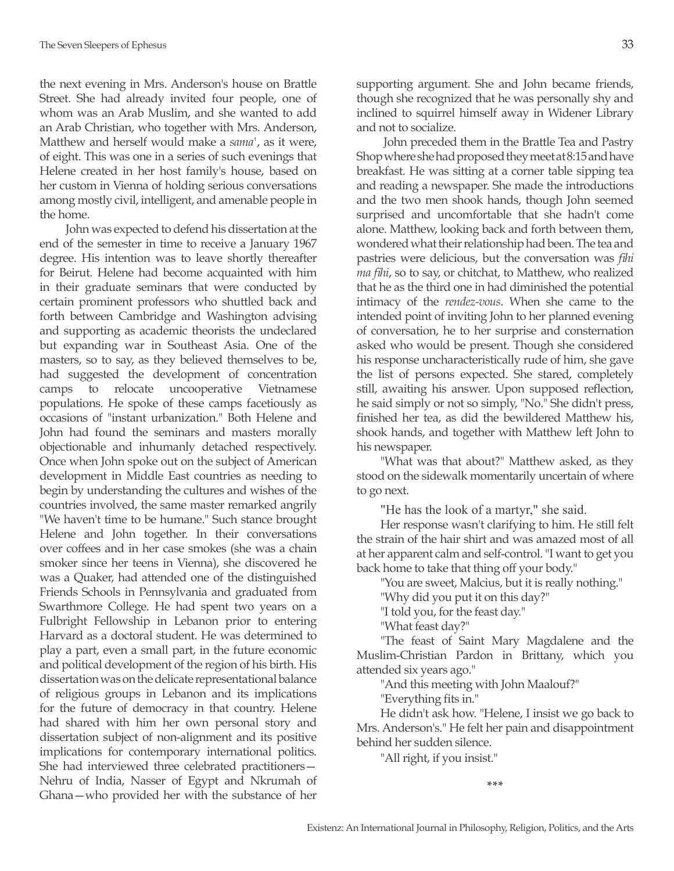the next evening in Mrs. Anderson's house on Brattle Street. She had already invited four people, one of whom was an Arab Muslim, and she wanted to add an Arab Christian, who together with Mrs. Anderson, Matthew and herself would make a *sama'*, as it were, of eight. This was one in a series of such evenings that Helene created in her host family's house, based on her custom in Vienna of holding serious conversations among mostly civil, intelligent, and amenable people in the home.

 John was expected to defend his dissertation at the end of the semester in time to receive a January 1967 degree. His intention was to leave shortly thereafter for Beirut. Helene had become acquainted with him in their graduate seminars that were conducted by certain prominent professors who shuttled back and forth between Cambridge and Washington advising and supporting as academic theorists the undeclared but expanding war in Southeast Asia. One of the masters, so to say, as they believed themselves to be, had suggested the development of concentration camps to relocate uncooperative Vietnamese populations. He spoke of these camps facetiously as occasions of "instant urbanization." Both Helene and John had found the seminars and masters morally objectionable and inhumanly detached respectively. Once when John spoke out on the subject of American development in Middle East countries as needing to begin by understanding the cultures and wishes of the countries involved, the same master remarked angrily "We haven't time to be humane." Such stance brought Helene and John together. In their conversations over coffees and in her case smokes (she was a chain smoker since her teens in Vienna), she discovered he was a Quaker, had attended one of the distinguished Friends Schools in Pennsylvania and graduated from Swarthmore College. He had spent two years on a Fulbright Fellowship in Lebanon prior to entering Harvard as a doctoral student. He was determined to play a part, even a small part, in the future economic and political development of the region of his birth. His dissertation was on the delicate representational balance of religious groups in Lebanon and its implications for the future of democracy in that country. Helene had shared with him her own personal story and dissertation subject of non-alignment and its positive implications for contemporary international politics. She had interviewed three celebrated practitioners— Nehru of India, Nasser of Egypt and Nkrumah of Ghana—who provided her with the substance of her

supporting argument. She and John became friends, though she recognized that he was personally shy and inclined to squirrel himself away in Widener Library and not to socialize.

 John preceded them in the Brattle Tea and Pastry Shop where she had proposed they meet at 8:15 and have breakfast. He was sitting at a corner table sipping tea and reading a newspaper. She made the introductions and the two men shook hands, though John seemed surprised and uncomfortable that she hadn't come alone. Matthew, looking back and forth between them, wondered what their relationship had been. The tea and pastries were delicious, but the conversation was *fihi ma fihi*, so to say, or chitchat, to Matthew, who realized that he as the third one in had diminished the potential intimacy of the *rendez-vous*. When she came to the intended point of inviting John to her planned evening of conversation, he to her surprise and consternation asked who would be present. Though she considered his response uncharacteristically rude of him, she gave the list of persons expected. She stared, completely still, awaiting his answer. Upon supposed reflection, he said simply or not so simply, "No." She didn't press, finished her tea, as did the bewildered Matthew his, shook hands, and together with Matthew left John to his newspaper.

"What was that about?" Matthew asked, as they stood on the sidewalk momentarily uncertain of where to go next.

"He has the look of a martyr," she said.

Her response wasn't clarifying to him. He still felt the strain of the hair shirt and was amazed most of all at her apparent calm and self-control. "I want to get you back home to take that thing off your body."

"You are sweet, Malcius, but it is really nothing."

"Why did you put it on this day?"

"I told you, for the feast day."

"What feast day?"

"The feast of Saint Mary Magdalene and the Muslim-Christian Pardon in Brittany, which you attended six years ago."

"And this meeting with John Maalouf?"

"Everything fits in."

He didn't ask how. "Helene, I insist we go back to Mrs. Anderson's." He felt her pain and disappointment behind her sudden silence.

"All right, if you insist."

**\*\*\***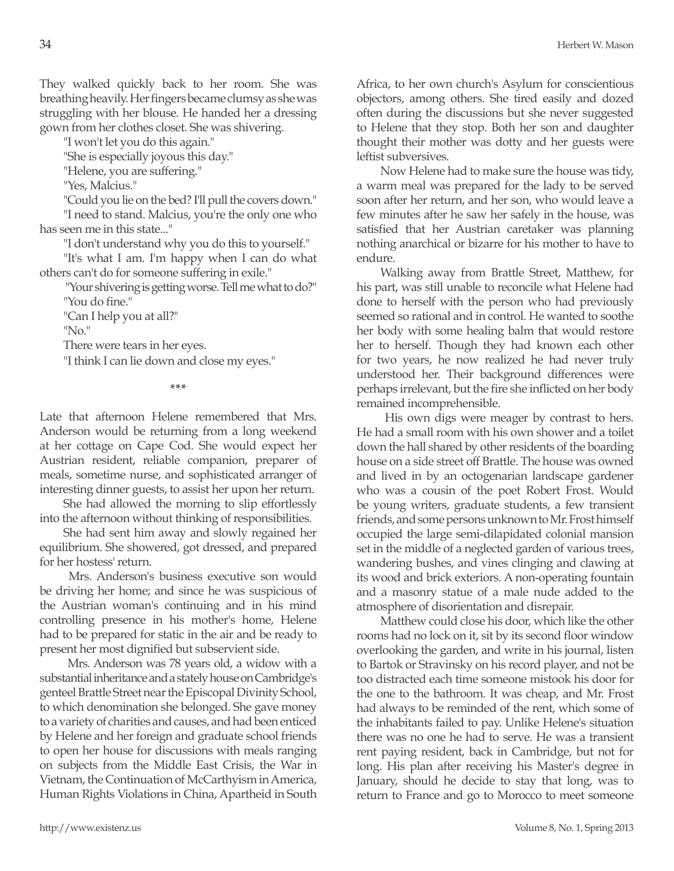They walked quickly back to her room. She was breathing heavily. Her fingers became clumsy as she was struggling with her blouse. He handed her a dressing gown from her clothes closet. She was shivering.

"I won't let you do this again."

"She is especially joyous this day."

"Helene, you are suffering."

"Yes, Malcius."

"Could you lie on the bed? I'll pull the covers down." "I need to stand. Malcius, you're the only one who has seen me in this state..."

"I don't understand why you do this to yourself."

"It's what I am. I'm happy when I can do what others can't do for someone suffering in exile."

 "Your shivering is getting worse. Tell me what to do?" "You do fine."

"Can I help you at all?"

"No."

There were tears in her eyes.

"I think I can lie down and close my eyes."

**\*\*\***

Late that afternoon Helene remembered that Mrs. Anderson would be returning from a long weekend at her cottage on Cape Cod. She would expect her Austrian resident, reliable companion, preparer of meals, sometime nurse, and sophisticated arranger of interesting dinner guests, to assist her upon her return.

She had allowed the morning to slip effortlessly into the afternoon without thinking of responsibilities.

She had sent him away and slowly regained her equilibrium. She showered, got dressed, and prepared for her hostess' return.

 Mrs. Anderson's business executive son would be driving her home; and since he was suspicious of the Austrian woman's continuing and in his mind controlling presence in his mother's home, Helene had to be prepared for static in the air and be ready to present her most dignified but subservient side.

 Mrs. Anderson was 78 years old, a widow with a substantial inheritance and a stately house on Cambridge's genteel Brattle Street near the Episcopal Divinity School, to which denomination she belonged. She gave money to a variety of charities and causes, and had been enticed by Helene and her foreign and graduate school friends to open her house for discussions with meals ranging on subjects from the Middle East Crisis, the War in Vietnam, the Continuation of McCarthyism in America, Human Rights Violations in China, Apartheid in South Africa, to her own church's Asylum for conscientious objectors, among others. She tired easily and dozed often during the discussions but she never suggested to Helene that they stop. Both her son and daughter thought their mother was dotty and her guests were leftist subversives.

Now Helene had to make sure the house was tidy, a warm meal was prepared for the lady to be served soon after her return, and her son, who would leave a few minutes after he saw her safely in the house, was satisfied that her Austrian caretaker was planning nothing anarchical or bizarre for his mother to have to endure.

Walking away from Brattle Street, Matthew, for his part, was still unable to reconcile what Helene had done to herself with the person who had previously seemed so rational and in control. He wanted to soothe her body with some healing balm that would restore her to herself. Though they had known each other for two years, he now realized he had never truly understood her. Their background differences were perhaps irrelevant, but the fire she inflicted on her body remained incomprehensible.

 His own digs were meager by contrast to hers. He had a small room with his own shower and a toilet down the hall shared by other residents of the boarding house on a side street off Brattle. The house was owned and lived in by an octogenarian landscape gardener who was a cousin of the poet Robert Frost. Would be young writers, graduate students, a few transient friends, and some persons unknown to Mr. Frost himself occupied the large semi-dilapidated colonial mansion set in the middle of a neglected garden of various trees, wandering bushes, and vines clinging and clawing at its wood and brick exteriors. A non-operating fountain and a masonry statue of a male nude added to the atmosphere of disorientation and disrepair.

Matthew could close his door, which like the other rooms had no lock on it, sit by its second floor window overlooking the garden, and write in his journal, listen to Bartok or Stravinsky on his record player, and not be too distracted each time someone mistook his door for the one to the bathroom. It was cheap, and Mr. Frost had always to be reminded of the rent, which some of the inhabitants failed to pay. Unlike Helene's situation there was no one he had to serve. He was a transient rent paying resident, back in Cambridge, but not for long. His plan after receiving his Master's degree in January, should he decide to stay that long, was to return to France and go to Morocco to meet someone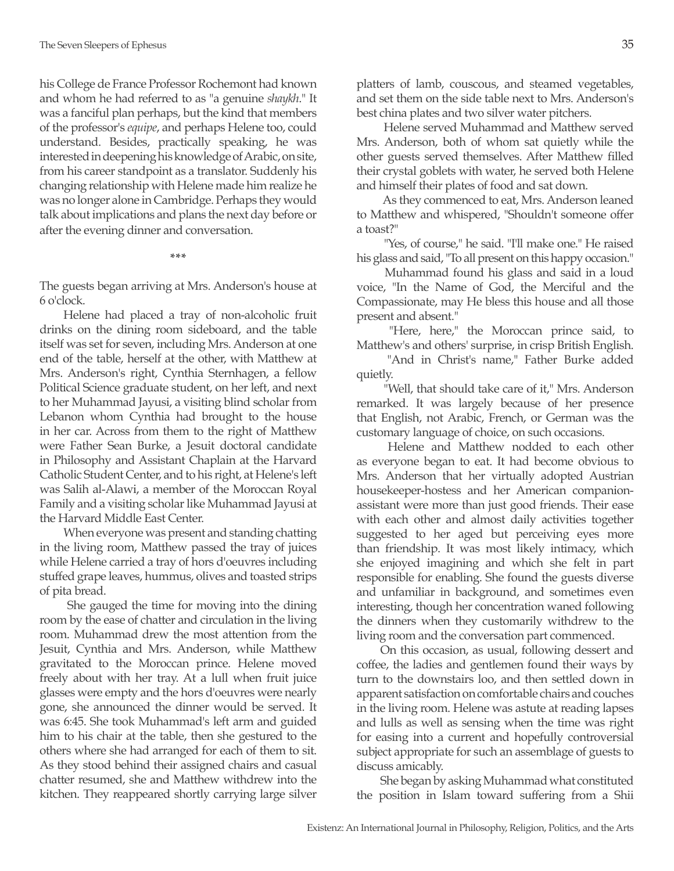his College de France Professor Rochemont had known and whom he had referred to as "a genuine *shaykh*." It was a fanciful plan perhaps, but the kind that members of the professor's *equipe*, and perhaps Helene too, could understand. Besides, practically speaking, he was interested in deepening his knowledge of Arabic, on site, from his career standpoint as a translator. Suddenly his changing relationship with Helene made him realize he was no longer alone in Cambridge. Perhaps they would talk about implications and plans the next day before or after the evening dinner and conversation.

**\*\*\***

The guests began arriving at Mrs. Anderson's house at 6 o'clock.

Helene had placed a tray of non-alcoholic fruit drinks on the dining room sideboard, and the table itself was set for seven, including Mrs. Anderson at one end of the table, herself at the other, with Matthew at Mrs. Anderson's right, Cynthia Sternhagen, a fellow Political Science graduate student, on her left, and next to her Muhammad Jayusi, a visiting blind scholar from Lebanon whom Cynthia had brought to the house in her car. Across from them to the right of Matthew were Father Sean Burke, a Jesuit doctoral candidate in Philosophy and Assistant Chaplain at the Harvard Catholic Student Center, and to his right, at Helene's left was Salih al-Alawi, a member of the Moroccan Royal Family and a visiting scholar like Muhammad Jayusi at the Harvard Middle East Center.

When everyone was present and standing chatting in the living room, Matthew passed the tray of juices while Helene carried a tray of hors d'oeuvres including stuffed grape leaves, hummus, olives and toasted strips of pita bread.

 She gauged the time for moving into the dining room by the ease of chatter and circulation in the living room. Muhammad drew the most attention from the Jesuit, Cynthia and Mrs. Anderson, while Matthew gravitated to the Moroccan prince. Helene moved freely about with her tray. At a lull when fruit juice glasses were empty and the hors d'oeuvres were nearly gone, she announced the dinner would be served. It was 6:45. She took Muhammad's left arm and guided him to his chair at the table, then she gestured to the others where she had arranged for each of them to sit. As they stood behind their assigned chairs and casual chatter resumed, she and Matthew withdrew into the kitchen. They reappeared shortly carrying large silver

platters of lamb, couscous, and steamed vegetables, and set them on the side table next to Mrs. Anderson's best china plates and two silver water pitchers.

 Helene served Muhammad and Matthew served Mrs. Anderson, both of whom sat quietly while the other guests served themselves. After Matthew filled their crystal goblets with water, he served both Helene and himself their plates of food and sat down.

 As they commenced to eat, Mrs. Anderson leaned to Matthew and whispered, "Shouldn't someone offer a toast?"

"Yes, of course," he said. "I'll make one." He raised his glass and said, "To all present on this happy occasion."

 Muhammad found his glass and said in a loud voice, "In the Name of God, the Merciful and the Compassionate, may He bless this house and all those present and absent."

"Here, here," the Moroccan prince said, to Matthew's and others' surprise, in crisp British English.

 "And in Christ's name," Father Burke added quietly.

 "Well, that should take care of it," Mrs. Anderson remarked. It was largely because of her presence that English, not Arabic, French, or German was the customary language of choice, on such occasions.

 Helene and Matthew nodded to each other as everyone began to eat. It had become obvious to Mrs. Anderson that her virtually adopted Austrian housekeeper-hostess and her American companionassistant were more than just good friends. Their ease with each other and almost daily activities together suggested to her aged but perceiving eyes more than friendship. It was most likely intimacy, which she enjoyed imagining and which she felt in part responsible for enabling. She found the guests diverse and unfamiliar in background, and sometimes even interesting, though her concentration waned following the dinners when they customarily withdrew to the living room and the conversation part commenced.

On this occasion, as usual, following dessert and coffee, the ladies and gentlemen found their ways by turn to the downstairs loo, and then settled down in apparent satisfaction on comfortable chairs and couches in the living room. Helene was astute at reading lapses and lulls as well as sensing when the time was right for easing into a current and hopefully controversial subject appropriate for such an assemblage of guests to discuss amicably.

She began by asking Muhammad what constituted the position in Islam toward suffering from a Shii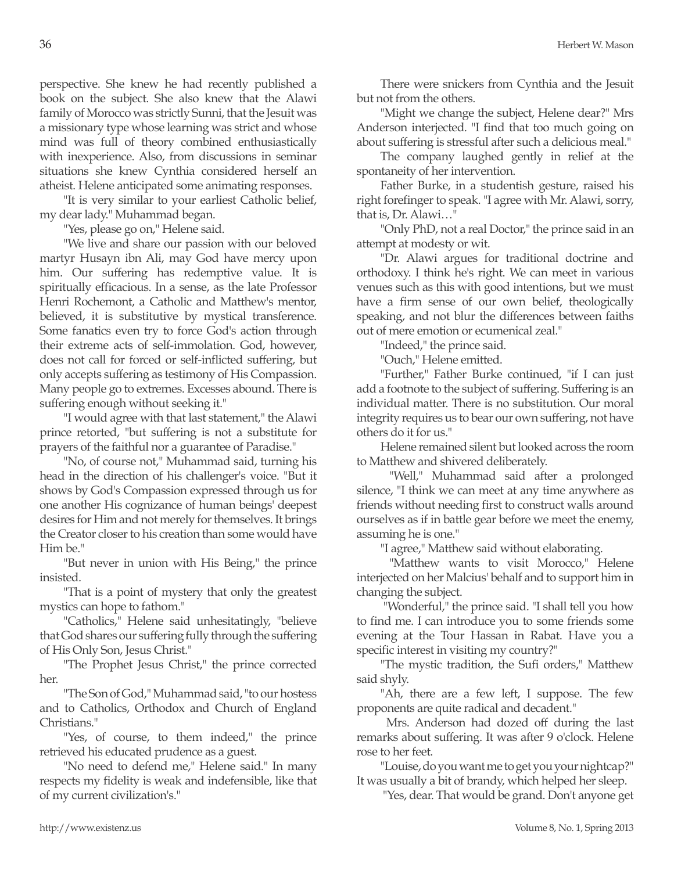perspective. She knew he had recently published a book on the subject. She also knew that the Alawi family of Morocco was strictly Sunni, that the Jesuit was a missionary type whose learning was strict and whose mind was full of theory combined enthusiastically with inexperience. Also, from discussions in seminar situations she knew Cynthia considered herself an atheist. Helene anticipated some animating responses.

"It is very similar to your earliest Catholic belief, my dear lady." Muhammad began.

"Yes, please go on," Helene said.

"We live and share our passion with our beloved martyr Husayn ibn Ali, may God have mercy upon him. Our suffering has redemptive value. It is spiritually efficacious. In a sense, as the late Professor Henri Rochemont, a Catholic and Matthew's mentor, believed, it is substitutive by mystical transference. Some fanatics even try to force God's action through their extreme acts of self-immolation. God, however, does not call for forced or self-inflicted suffering, but only accepts suffering as testimony of His Compassion. Many people go to extremes. Excesses abound. There is suffering enough without seeking it."

"I would agree with that last statement," the Alawi prince retorted, "but suffering is not a substitute for prayers of the faithful nor a guarantee of Paradise."

"No, of course not," Muhammad said, turning his head in the direction of his challenger's voice. "But it shows by God's Compassion expressed through us for one another His cognizance of human beings' deepest desires for Him and not merely for themselves. It brings the Creator closer to his creation than some would have Him be."

"But never in union with His Being," the prince insisted.

"That is a point of mystery that only the greatest mystics can hope to fathom."

"Catholics," Helene said unhesitatingly, "believe that God shares our suffering fully through the suffering of His Only Son, Jesus Christ."

"The Prophet Jesus Christ," the prince corrected her.

"The Son of God," Muhammad said, "to our hostess and to Catholics, Orthodox and Church of England Christians."

"Yes, of course, to them indeed," the prince retrieved his educated prudence as a guest.

"No need to defend me," Helene said." In many respects my fidelity is weak and indefensible, like that of my current civilization's."

There were snickers from Cynthia and the Jesuit but not from the others.

"Might we change the subject, Helene dear?" Mrs Anderson interjected. "I find that too much going on about suffering is stressful after such a delicious meal."

The company laughed gently in relief at the spontaneity of her intervention.

Father Burke, in a studentish gesture, raised his right forefinger to speak. "I agree with Mr. Alawi, sorry, that is, Dr. Alawi…"

"Only PhD, not a real Doctor," the prince said in an attempt at modesty or wit.

"Dr. Alawi argues for traditional doctrine and orthodoxy. I think he's right. We can meet in various venues such as this with good intentions, but we must have a firm sense of our own belief, theologically speaking, and not blur the differences between faiths out of mere emotion or ecumenical zeal."

"Indeed," the prince said.

"Ouch," Helene emitted.

"Further," Father Burke continued, "if I can just add a footnote to the subject of suffering. Suffering is an individual matter. There is no substitution. Our moral integrity requires us to bear our own suffering, not have others do it for us."

Helene remained silent but looked across the room to Matthew and shivered deliberately.

 "Well," Muhammad said after a prolonged silence, "I think we can meet at any time anywhere as friends without needing first to construct walls around ourselves as if in battle gear before we meet the enemy, assuming he is one."

"I agree," Matthew said without elaborating.

 "Matthew wants to visit Morocco," Helene interjected on her Malcius' behalf and to support him in changing the subject.

 "Wonderful," the prince said. "I shall tell you how to find me. I can introduce you to some friends some evening at the Tour Hassan in Rabat. Have you a specific interest in visiting my country?"

"The mystic tradition, the Sufi orders," Matthew said shyly.

"Ah, there are a few left, I suppose. The few proponents are quite radical and decadent."

 Mrs. Anderson had dozed off during the last remarks about suffering. It was after 9 o'clock. Helene rose to her feet.

"Louise, do you want me to get you your nightcap?" It was usually a bit of brandy, which helped her sleep.

"Yes, dear. That would be grand. Don't anyone get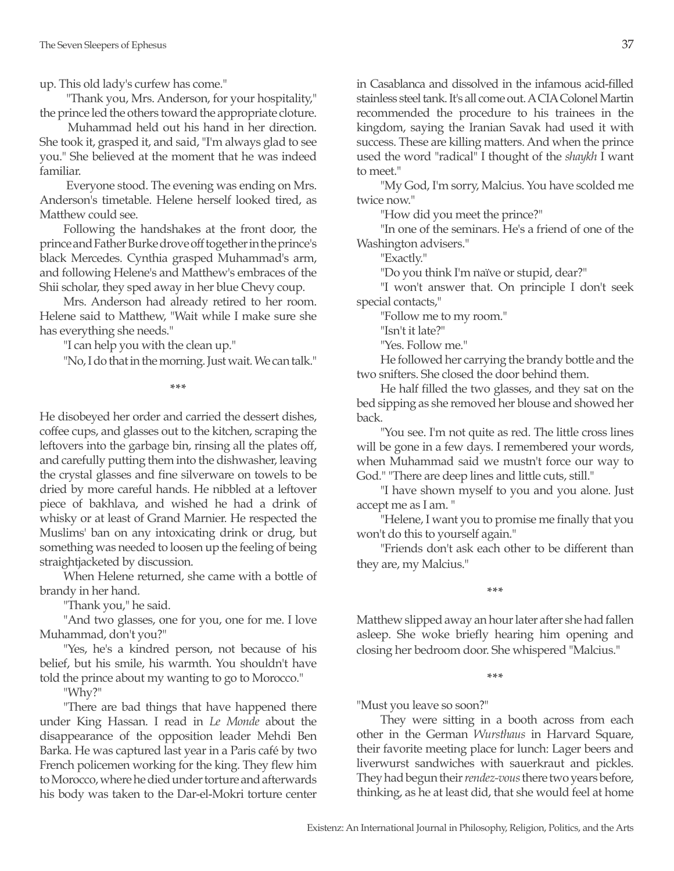up. This old lady's curfew has come."

 "Thank you, Mrs. Anderson, for your hospitality," the prince led the others toward the appropriate cloture.

 Muhammad held out his hand in her direction. She took it, grasped it, and said, "I'm always glad to see you." She believed at the moment that he was indeed familiar.

 Everyone stood. The evening was ending on Mrs. Anderson's timetable. Helene herself looked tired, as Matthew could see.

Following the handshakes at the front door, the prince and Father Burke drove off together in the prince's black Mercedes. Cynthia grasped Muhammad's arm, and following Helene's and Matthew's embraces of the Shii scholar, they sped away in her blue Chevy coup.

Mrs. Anderson had already retired to her room. Helene said to Matthew, "Wait while I make sure she has everything she needs."

"I can help you with the clean up."

"No, I do that in the morning. Just wait. We can talk."

**\*\*\***

He disobeyed her order and carried the dessert dishes, coffee cups, and glasses out to the kitchen, scraping the leftovers into the garbage bin, rinsing all the plates off, and carefully putting them into the dishwasher, leaving the crystal glasses and fine silverware on towels to be dried by more careful hands. He nibbled at a leftover piece of bakhlava, and wished he had a drink of whisky or at least of Grand Marnier. He respected the Muslims' ban on any intoxicating drink or drug, but something was needed to loosen up the feeling of being straightjacketed by discussion.

When Helene returned, she came with a bottle of brandy in her hand.

"Thank you," he said.

"And two glasses, one for you, one for me. I love Muhammad, don't you?"

"Yes, he's a kindred person, not because of his belief, but his smile, his warmth. You shouldn't have told the prince about my wanting to go to Morocco."

"Why?"

"There are bad things that have happened there under King Hassan. I read in *Le Monde* about the disappearance of the opposition leader Mehdi Ben Barka. He was captured last year in a Paris café by two French policemen working for the king. They flew him to Morocco, where he died under torture and afterwards his body was taken to the Dar-el-Mokri torture center in Casablanca and dissolved in the infamous acid-filled stainless steel tank. It's all come out. A CIA Colonel Martin recommended the procedure to his trainees in the kingdom, saying the Iranian Savak had used it with success. These are killing matters. And when the prince used the word "radical" I thought of the *shaykh* I want to meet."

"My God, I'm sorry, Malcius. You have scolded me twice now."

"How did you meet the prince?"

"In one of the seminars. He's a friend of one of the Washington advisers."

"Exactly."

"Do you think I'm naïve or stupid, dear?"

"I won't answer that. On principle I don't seek special contacts,"

"Follow me to my room."

"Isn't it late?"

"Yes. Follow me."

He followed her carrying the brandy bottle and the two snifters. She closed the door behind them.

He half filled the two glasses, and they sat on the bed sipping as she removed her blouse and showed her back.

"You see. I'm not quite as red. The little cross lines will be gone in a few days. I remembered your words, when Muhammad said we mustn't force our way to God." "There are deep lines and little cuts, still."

"I have shown myself to you and you alone. Just accept me as I am. "

"Helene, I want you to promise me finally that you won't do this to yourself again."

"Friends don't ask each other to be different than they are, my Malcius."

**\*\*\***

Matthew slipped away an hour later after she had fallen asleep. She woke briefly hearing him opening and closing her bedroom door. She whispered "Malcius."

**\*\*\***

"Must you leave so soon?"

They were sitting in a booth across from each other in the German *Wursthaus* in Harvard Square, their favorite meeting place for lunch: Lager beers and liverwurst sandwiches with sauerkraut and pickles. They had begun their *rendez-vous* there two years before, thinking, as he at least did, that she would feel at home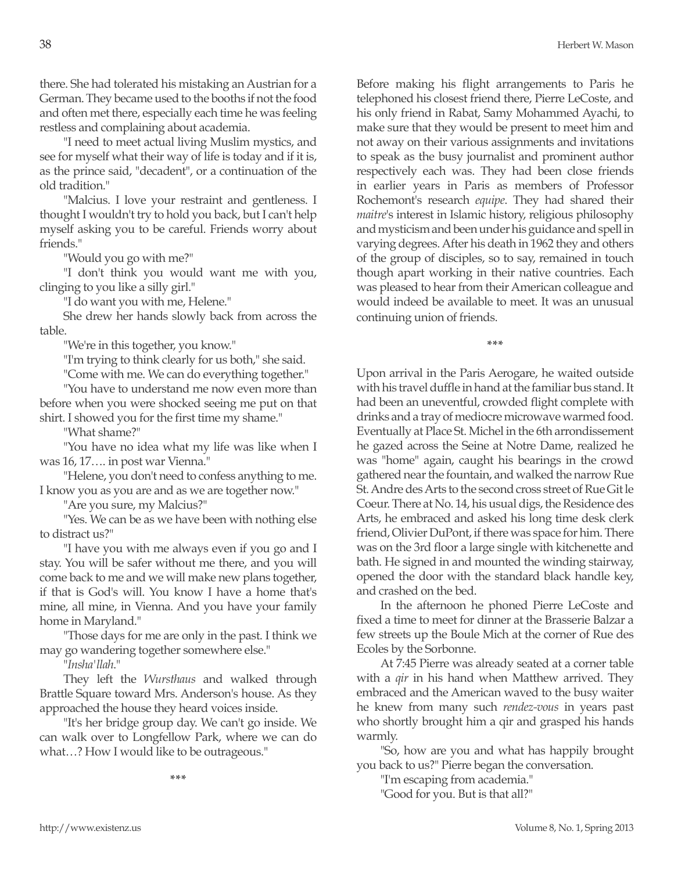there. She had tolerated his mistaking an Austrian for a German. They became used to the booths if not the food and often met there, especially each time he was feeling restless and complaining about academia.

"I need to meet actual living Muslim mystics, and see for myself what their way of life is today and if it is, as the prince said, "decadent", or a continuation of the old tradition."

"Malcius. I love your restraint and gentleness. I thought I wouldn't try to hold you back, but I can't help myself asking you to be careful. Friends worry about friends."

"Would you go with me?"

"I don't think you would want me with you, clinging to you like a silly girl."

"I do want you with me, Helene."

She drew her hands slowly back from across the table.

"We're in this together, you know."

"I'm trying to think clearly for us both," she said.

"Come with me. We can do everything together."

"You have to understand me now even more than before when you were shocked seeing me put on that shirt. I showed you for the first time my shame."

"What shame?"

"You have no idea what my life was like when I was 16, 17…. in post war Vienna."

"Helene, you don't need to confess anything to me. I know you as you are and as we are together now."

"Are you sure, my Malcius?"

"Yes. We can be as we have been with nothing else to distract us?"

"I have you with me always even if you go and I stay. You will be safer without me there, and you will come back to me and we will make new plans together, if that is God's will. You know I have a home that's mine, all mine, in Vienna. And you have your family home in Maryland."

"Those days for me are only in the past. I think we may go wandering together somewhere else."

"*Insha'llah*."

They left the *Wursthaus* and walked through Brattle Square toward Mrs. Anderson's house. As they approached the house they heard voices inside.

"It's her bridge group day. We can't go inside. We can walk over to Longfellow Park, where we can do what…? How I would like to be outrageous."

**\*\*\***

Before making his flight arrangements to Paris he telephoned his closest friend there, Pierre LeCoste, and his only friend in Rabat, Samy Mohammed Ayachi, to make sure that they would be present to meet him and not away on their various assignments and invitations to speak as the busy journalist and prominent author respectively each was. They had been close friends in earlier years in Paris as members of Professor Rochemont's research *equipe*. They had shared their *maitre*'s interest in Islamic history, religious philosophy and mysticism and been under his guidance and spell in varying degrees. After his death in 1962 they and others of the group of disciples, so to say, remained in touch though apart working in their native countries. Each was pleased to hear from their American colleague and would indeed be available to meet. It was an unusual continuing union of friends.

**\*\*\***

Upon arrival in the Paris Aerogare, he waited outside with his travel duffle in hand at the familiar bus stand. It had been an uneventful, crowded flight complete with drinks and a tray of mediocre microwave warmed food. Eventually at Place St. Michel in the 6th arrondissement he gazed across the Seine at Notre Dame, realized he was "home" again, caught his bearings in the crowd gathered near the fountain, and walked the narrow Rue St. Andre des Arts to the second cross street of Rue Git le Coeur. There at No. 14, his usual digs, the Residence des Arts, he embraced and asked his long time desk clerk friend, Olivier DuPont, if there was space for him. There was on the 3rd floor a large single with kitchenette and bath. He signed in and mounted the winding stairway, opened the door with the standard black handle key, and crashed on the bed.

In the afternoon he phoned Pierre LeCoste and fixed a time to meet for dinner at the Brasserie Balzar a few streets up the Boule Mich at the corner of Rue des Ecoles by the Sorbonne.

At 7:45 Pierre was already seated at a corner table with a *qir* in his hand when Matthew arrived. They embraced and the American waved to the busy waiter he knew from many such *rendez-vous* in years past who shortly brought him a qir and grasped his hands warmly.

"So, how are you and what has happily brought you back to us?" Pierre began the conversation.

"I'm escaping from academia." "Good for you. But is that all?"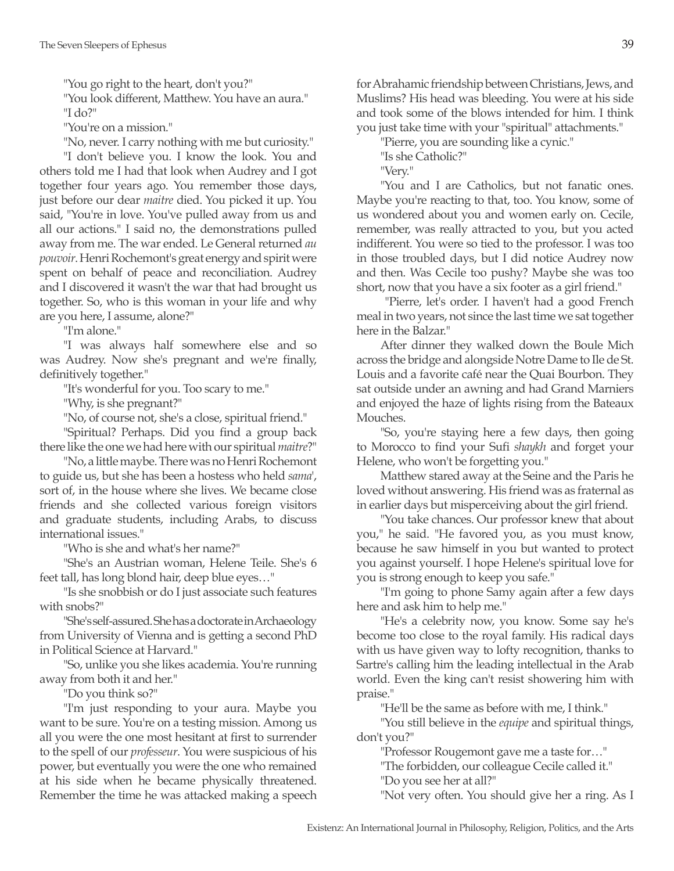"You go right to the heart, don't you?"

"You look different, Matthew. You have an aura." "I do?"

"You're on a mission."

"No, never. I carry nothing with me but curiosity."

"I don't believe you. I know the look. You and others told me I had that look when Audrey and I got together four years ago. You remember those days, just before our dear *maitre* died. You picked it up. You said, "You're in love. You've pulled away from us and all our actions." I said no, the demonstrations pulled away from me. The war ended. Le General returned *au pouvoir*. Henri Rochemont's great energy and spirit were spent on behalf of peace and reconciliation. Audrey and I discovered it wasn't the war that had brought us together. So, who is this woman in your life and why are you here, I assume, alone?"

"I'm alone."

"I was always half somewhere else and so was Audrey. Now she's pregnant and we're finally, definitively together."

"It's wonderful for you. Too scary to me."

"Why, is she pregnant?"

"No, of course not, she's a close, spiritual friend."

"Spiritual? Perhaps. Did you find a group back there like the one we had here with our spiritual *maitre*?"

"No, a little maybe. There was no Henri Rochemont to guide us, but she has been a hostess who held *sama*', sort of, in the house where she lives. We became close friends and she collected various foreign visitors and graduate students, including Arabs, to discuss international issues."

"Who is she and what's her name?"

"She's an Austrian woman, Helene Teile. She's 6 feet tall, has long blond hair, deep blue eyes…"

"Is she snobbish or do I just associate such features with snobs?"

"She's self-assured. She has a doctorate in Archaeology from University of Vienna and is getting a second PhD in Political Science at Harvard."

"So, unlike you she likes academia. You're running away from both it and her."

"Do you think so?"

"I'm just responding to your aura. Maybe you want to be sure. You're on a testing mission. Among us all you were the one most hesitant at first to surrender to the spell of our *professeur*. You were suspicious of his power, but eventually you were the one who remained at his side when he became physically threatened. Remember the time he was attacked making a speech for Abrahamic friendship between Christians, Jews, and Muslims? His head was bleeding. You were at his side and took some of the blows intended for him. I think you just take time with your "spiritual" attachments."

"Pierre, you are sounding like a cynic." "Is she Catholic?"

"Very."

"You and I are Catholics, but not fanatic ones. Maybe you're reacting to that, too. You know, some of us wondered about you and women early on. Cecile, remember, was really attracted to you, but you acted indifferent. You were so tied to the professor. I was too in those troubled days, but I did notice Audrey now and then. Was Cecile too pushy? Maybe she was too short, now that you have a six footer as a girl friend."

 "Pierre, let's order. I haven't had a good French meal in two years, not since the last time we sat together here in the Balzar."

After dinner they walked down the Boule Mich across the bridge and alongside Notre Dame to Ile de St. Louis and a favorite café near the Quai Bourbon. They sat outside under an awning and had Grand Marniers and enjoyed the haze of lights rising from the Bateaux Mouches.

"So, you're staying here a few days, then going to Morocco to find your Sufi *shaykh* and forget your Helene, who won't be forgetting you."

Matthew stared away at the Seine and the Paris he loved without answering. His friend was as fraternal as in earlier days but misperceiving about the girl friend.

"You take chances. Our professor knew that about you," he said. "He favored you, as you must know, because he saw himself in you but wanted to protect you against yourself. I hope Helene's spiritual love for you is strong enough to keep you safe."

"I'm going to phone Samy again after a few days here and ask him to help me."

"He's a celebrity now, you know. Some say he's become too close to the royal family. His radical days with us have given way to lofty recognition, thanks to Sartre's calling him the leading intellectual in the Arab world. Even the king can't resist showering him with praise."

"He'll be the same as before with me, I think."

"You still believe in the *equipe* and spiritual things, don't you?"

"Professor Rougemont gave me a taste for…"

"The forbidden, our colleague Cecile called it."

"Do you see her at all?"

"Not very often. You should give her a ring. As I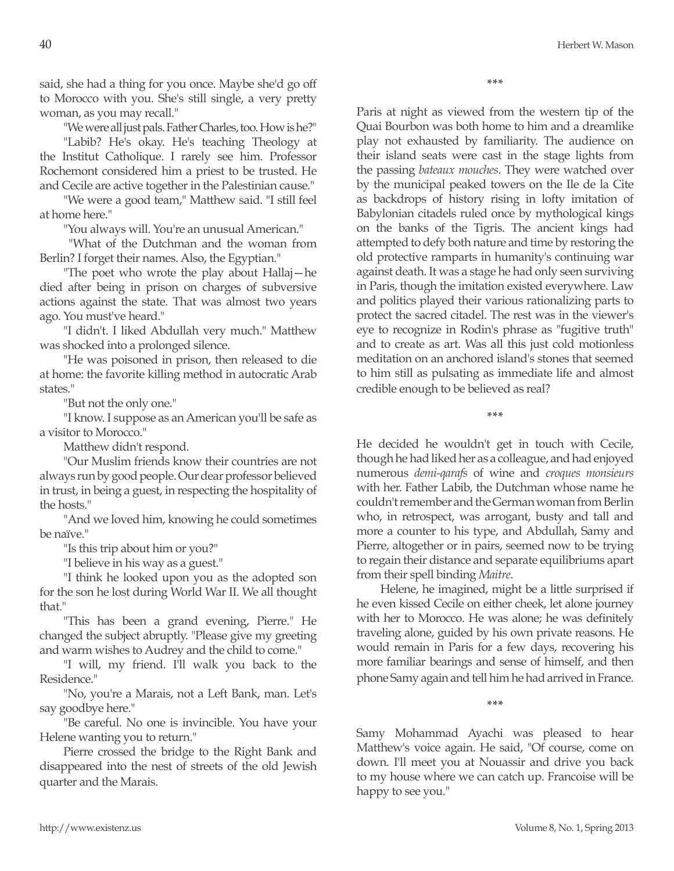said, she had a thing for you once. Maybe she'd go off to Morocco with you. She's still single, a very pretty woman, as you may recall."

"We were all just pals. Father Charles, too. How is he?"

"Labib? He's okay. He's teaching Theology at the Institut Catholique. I rarely see him. Professor Rochemont considered him a priest to be trusted. He and Cecile are active together in the Palestinian cause."

"We were a good team," Matthew said. "I still feel at home here."

"You always will. You're an unusual American."

 "What of the Dutchman and the woman from Berlin? I forget their names. Also, the Egyptian."

"The poet who wrote the play about Hallaj—he died after being in prison on charges of subversive actions against the state. That was almost two years ago. You must've heard."

"I didn't. I liked Abdullah very much." Matthew was shocked into a prolonged silence.

"He was poisoned in prison, then released to die at home: the favorite killing method in autocratic Arab states."

"But not the only one."

"I know. I suppose as an American you'll be safe as a visitor to Morocco."

Matthew didn't respond.

"Our Muslim friends know their countries are not always run by good people. Our dear professor believed in trust, in being a guest, in respecting the hospitality of the hosts."

"And we loved him, knowing he could sometimes be naïve."

"Is this trip about him or you?"

"I believe in his way as a guest."

"I think he looked upon you as the adopted son for the son he lost during World War II. We all thought that."

"This has been a grand evening, Pierre." He changed the subject abruptly. "Please give my greeting and warm wishes to Audrey and the child to come."

"I will, my friend. I'll walk you back to the Residence."

"No, you're a Marais, not a Left Bank, man. Let's say goodbye here."

"Be careful. No one is invincible. You have your Helene wanting you to return."

Pierre crossed the bridge to the Right Bank and disappeared into the nest of streets of the old Jewish quarter and the Marais.

**\*\*\***

Paris at night as viewed from the western tip of the Quai Bourbon was both home to him and a dreamlike play not exhausted by familiarity. The audience on their island seats were cast in the stage lights from the passing *bateaux mouches*. They were watched over by the municipal peaked towers on the Ile de la Cite as backdrops of history rising in lofty imitation of Babylonian citadels ruled once by mythological kings on the banks of the Tigris. The ancient kings had attempted to defy both nature and time by restoring the old protective ramparts in humanity's continuing war against death. It was a stage he had only seen surviving in Paris, though the imitation existed everywhere. Law and politics played their various rationalizing parts to protect the sacred citadel. The rest was in the viewer's eye to recognize in Rodin's phrase as "fugitive truth" and to create as art. Was all this just cold motionless meditation on an anchored island's stones that seemed to him still as pulsating as immediate life and almost credible enough to be believed as real?

**\*\*\***

He decided he wouldn't get in touch with Cecile, though he had liked her as a colleague, and had enjoyed numerous *demi-qarafs* of wine and *croques monsieurs* with her. Father Labib, the Dutchman whose name he couldn't remember and the German woman from Berlin who, in retrospect, was arrogant, busty and tall and more a counter to his type, and Abdullah, Samy and Pierre, altogether or in pairs, seemed now to be trying to regain their distance and separate equilibriums apart from their spell binding *Maitre*.

Helene, he imagined, might be a little surprised if he even kissed Cecile on either cheek, let alone journey with her to Morocco. He was alone; he was definitely traveling alone, guided by his own private reasons. He would remain in Paris for a few days, recovering his more familiar bearings and sense of himself, and then phone Samy again and tell him he had arrived in France.

**\*\*\***

Samy Mohammad Ayachi was pleased to hear Matthew's voice again. He said, "Of course, come on down. I'll meet you at Nouassir and drive you back to my house where we can catch up. Francoise will be happy to see you."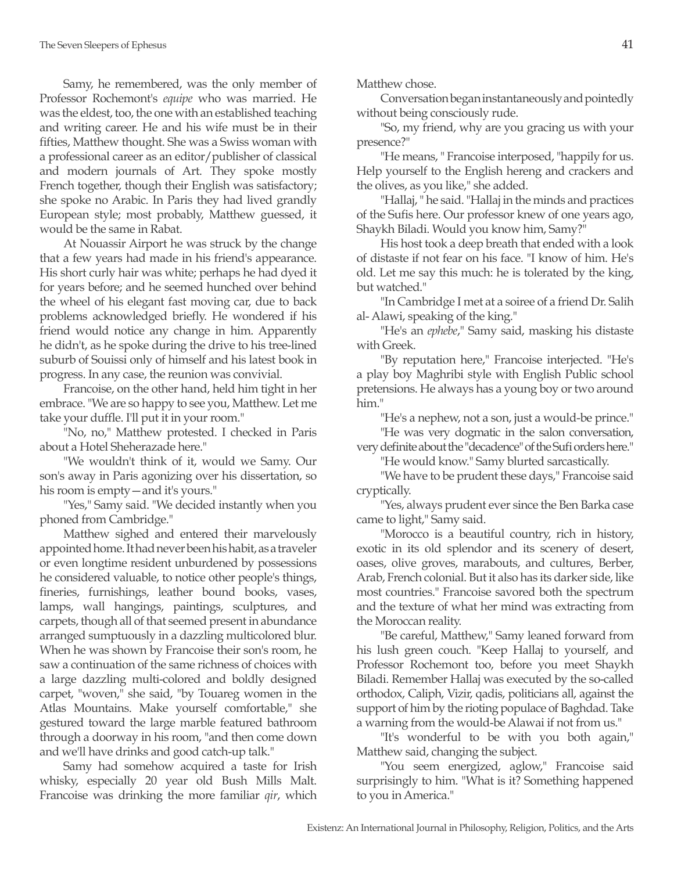Samy, he remembered, was the only member of Professor Rochemont's *equipe* who was married. He was the eldest, too, the one with an established teaching and writing career. He and his wife must be in their fifties, Matthew thought. She was a Swiss woman with a professional career as an editor/publisher of classical and modern journals of Art. They spoke mostly French together, though their English was satisfactory; she spoke no Arabic. In Paris they had lived grandly European style; most probably, Matthew guessed, it would be the same in Rabat.

At Nouassir Airport he was struck by the change that a few years had made in his friend's appearance. His short curly hair was white; perhaps he had dyed it for years before; and he seemed hunched over behind the wheel of his elegant fast moving car, due to back problems acknowledged briefly. He wondered if his friend would notice any change in him. Apparently he didn't, as he spoke during the drive to his tree-lined suburb of Souissi only of himself and his latest book in progress. In any case, the reunion was convivial.

Francoise, on the other hand, held him tight in her embrace. "We are so happy to see you, Matthew. Let me take your duffle. I'll put it in your room."

"No, no," Matthew protested. I checked in Paris about a Hotel Sheherazade here."

"We wouldn't think of it, would we Samy. Our son's away in Paris agonizing over his dissertation, so his room is empty—and it's yours."

"Yes," Samy said. "We decided instantly when you phoned from Cambridge."

Matthew sighed and entered their marvelously appointed home. It had never been his habit, as a traveler or even longtime resident unburdened by possessions he considered valuable, to notice other people's things, fineries, furnishings, leather bound books, vases, lamps, wall hangings, paintings, sculptures, and carpets, though all of that seemed present in abundance arranged sumptuously in a dazzling multicolored blur. When he was shown by Francoise their son's room, he saw a continuation of the same richness of choices with a large dazzling multi-colored and boldly designed carpet, "woven," she said, "by Touareg women in the Atlas Mountains. Make yourself comfortable," she gestured toward the large marble featured bathroom through a doorway in his room, "and then come down and we'll have drinks and good catch-up talk."

Samy had somehow acquired a taste for Irish whisky, especially 20 year old Bush Mills Malt. Francoise was drinking the more familiar *qir*, which Matthew chose.

Conversation began instantaneously and pointedly without being consciously rude.

"So, my friend, why are you gracing us with your presence?"

"He means, " Francoise interposed, "happily for us. Help yourself to the English hereng and crackers and the olives, as you like," she added.

"Hallaj, " he said. "Hallaj in the minds and practices of the Sufis here. Our professor knew of one years ago, Shaykh Biladi. Would you know him, Samy?"

His host took a deep breath that ended with a look of distaste if not fear on his face. "I know of him. He's old. Let me say this much: he is tolerated by the king, but watched."

"In Cambridge I met at a soiree of a friend Dr. Salih al- Alawi, speaking of the king."

"He's an *ephebe*," Samy said, masking his distaste with Greek.

"By reputation here," Francoise interjected. "He's a play boy Maghribi style with English Public school pretensions. He always has a young boy or two around him."

"He's a nephew, not a son, just a would-be prince."

"He was very dogmatic in the salon conversation, very definite about the "decadence" of the Sufi orders here."

"He would know." Samy blurted sarcastically.

"We have to be prudent these days," Francoise said cryptically.

"Yes, always prudent ever since the Ben Barka case came to light," Samy said.

"Morocco is a beautiful country, rich in history, exotic in its old splendor and its scenery of desert, oases, olive groves, marabouts, and cultures, Berber, Arab, French colonial. But it also has its darker side, like most countries." Francoise savored both the spectrum and the texture of what her mind was extracting from the Moroccan reality.

"Be careful, Matthew," Samy leaned forward from his lush green couch. "Keep Hallaj to yourself, and Professor Rochemont too, before you meet Shaykh Biladi. Remember Hallaj was executed by the so-called orthodox, Caliph, Vizir, qadis, politicians all, against the support of him by the rioting populace of Baghdad. Take a warning from the would-be Alawai if not from us."

"It's wonderful to be with you both again," Matthew said, changing the subject.

"You seem energized, aglow," Francoise said surprisingly to him. "What is it? Something happened to you in America."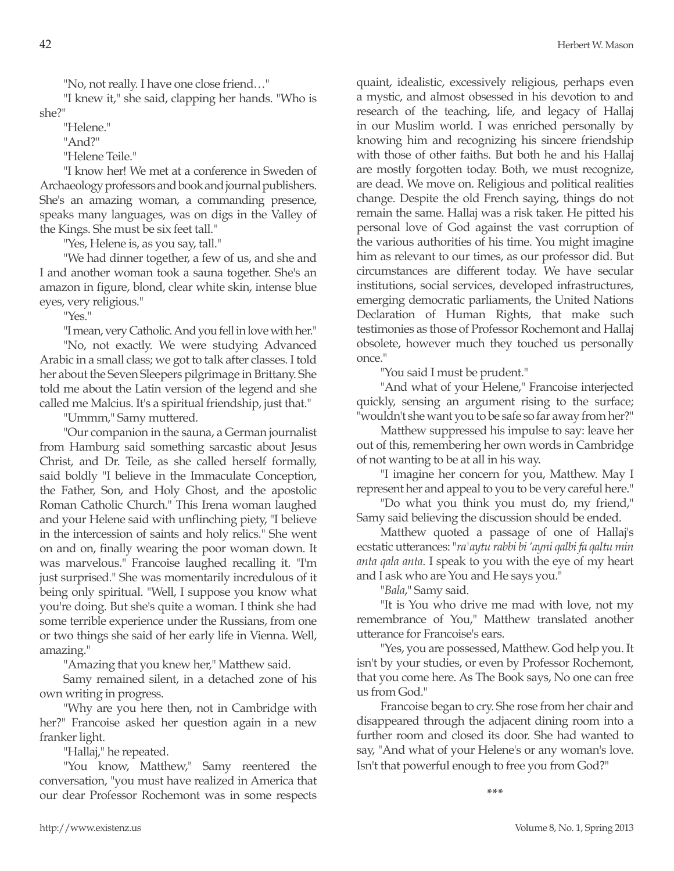"No, not really. I have one close friend…"

"I knew it," she said, clapping her hands. "Who is she?"

"Helene."

"And?"

"Helene Teile."

"I know her! We met at a conference in Sweden of Archaeology professors and book and journal publishers. She's an amazing woman, a commanding presence, speaks many languages, was on digs in the Valley of the Kings. She must be six feet tall."

"Yes, Helene is, as you say, tall."

"We had dinner together, a few of us, and she and I and another woman took a sauna together. She's an amazon in figure, blond, clear white skin, intense blue eyes, very religious."

"Yes."

"I mean, very Catholic. And you fell in love with her." "No, not exactly. We were studying Advanced Arabic in a small class; we got to talk after classes. I told her about the Seven Sleepers pilgrimage in Brittany. She told me about the Latin version of the legend and she called me Malcius. It's a spiritual friendship, just that."

"Ummm," Samy muttered.

"Our companion in the sauna, a German journalist from Hamburg said something sarcastic about Jesus Christ, and Dr. Teile, as she called herself formally, said boldly "I believe in the Immaculate Conception, the Father, Son, and Holy Ghost, and the apostolic Roman Catholic Church." This Irena woman laughed and your Helene said with unflinching piety, "I believe in the intercession of saints and holy relics." She went on and on, finally wearing the poor woman down. It was marvelous." Francoise laughed recalling it. "I'm just surprised." She was momentarily incredulous of it being only spiritual. "Well, I suppose you know what you're doing. But she's quite a woman. I think she had some terrible experience under the Russians, from one or two things she said of her early life in Vienna. Well, amazing."

"Amazing that you knew her," Matthew said.

Samy remained silent, in a detached zone of his own writing in progress.

"Why are you here then, not in Cambridge with her?" Francoise asked her question again in a new franker light.

"Hallaj," he repeated.

"You know, Matthew," Samy reentered the conversation, "you must have realized in America that our dear Professor Rochemont was in some respects quaint, idealistic, excessively religious, perhaps even a mystic, and almost obsessed in his devotion to and research of the teaching, life, and legacy of Hallaj in our Muslim world. I was enriched personally by knowing him and recognizing his sincere friendship with those of other faiths. But both he and his Hallaj are mostly forgotten today. Both, we must recognize, are dead. We move on. Religious and political realities change. Despite the old French saying, things do not remain the same. Hallaj was a risk taker. He pitted his personal love of God against the vast corruption of the various authorities of his time. You might imagine him as relevant to our times, as our professor did. But circumstances are different today. We have secular institutions, social services, developed infrastructures, emerging democratic parliaments, the United Nations Declaration of Human Rights, that make such testimonies as those of Professor Rochemont and Hallaj obsolete, however much they touched us personally once."

"You said I must be prudent."

"And what of your Helene," Francoise interjected quickly, sensing an argument rising to the surface; "wouldn't she want you to be safe so far away from her?"

Matthew suppressed his impulse to say: leave her out of this, remembering her own words in Cambridge of not wanting to be at all in his way.

"I imagine her concern for you, Matthew. May I represent her and appeal to you to be very careful here."

"Do what you think you must do, my friend," Samy said believing the discussion should be ended.

Matthew quoted a passage of one of Hallaj's ecstatic utterances: "*ra'aytu rabbi bi 'ayni qalbi fa qaltu min anta qala anta*. I speak to you with the eye of my heart and I ask who are You and He says you."

"*Bala*," Samy said.

"It is You who drive me mad with love, not my remembrance of You," Matthew translated another utterance for Francoise's ears.

"Yes, you are possessed, Matthew. God help you. It isn't by your studies, or even by Professor Rochemont, that you come here. As The Book says, No one can free us from God."

Francoise began to cry. She rose from her chair and disappeared through the adjacent dining room into a further room and closed its door. She had wanted to say, "And what of your Helene's or any woman's love. Isn't that powerful enough to free you from God?"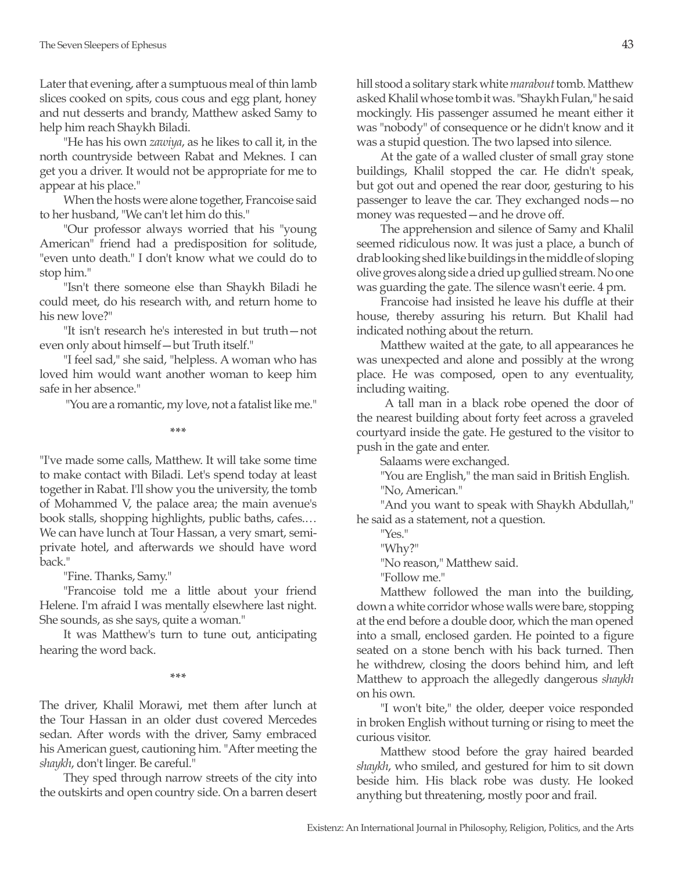Later that evening, after a sumptuous meal of thin lamb slices cooked on spits, cous cous and egg plant, honey and nut desserts and brandy, Matthew asked Samy to help him reach Shaykh Biladi.

"He has his own *zawiya*, as he likes to call it, in the north countryside between Rabat and Meknes. I can get you a driver. It would not be appropriate for me to appear at his place."

When the hosts were alone together, Francoise said to her husband, "We can't let him do this."

"Our professor always worried that his "young American" friend had a predisposition for solitude, "even unto death." I don't know what we could do to stop him."

"Isn't there someone else than Shaykh Biladi he could meet, do his research with, and return home to his new love?"

"It isn't research he's interested in but truth—not even only about himself—but Truth itself."

"I feel sad," she said, "helpless. A woman who has loved him would want another woman to keep him safe in her absence."

"You are a romantic, my love, not a fatalist like me."

**\*\*\***

"I've made some calls, Matthew. It will take some time to make contact with Biladi. Let's spend today at least together in Rabat. I'll show you the university, the tomb of Mohammed V, the palace area; the main avenue's book stalls, shopping highlights, public baths, cafes.… We can have lunch at Tour Hassan, a very smart, semiprivate hotel, and afterwards we should have word back."

"Fine. Thanks, Samy."

"Francoise told me a little about your friend Helene. I'm afraid I was mentally elsewhere last night. She sounds, as she says, quite a woman."

It was Matthew's turn to tune out, anticipating hearing the word back.

**\*\*\***

The driver, Khalil Morawi, met them after lunch at the Tour Hassan in an older dust covered Mercedes sedan. After words with the driver, Samy embraced his American guest, cautioning him. "After meeting the *shaykh*, don't linger. Be careful."

They sped through narrow streets of the city into the outskirts and open country side. On a barren desert hill stood a solitary stark white *marabout* tomb. Matthew asked Khalil whose tomb it was. "Shaykh Fulan," he said mockingly. His passenger assumed he meant either it was "nobody" of consequence or he didn't know and it was a stupid question. The two lapsed into silence.

At the gate of a walled cluster of small gray stone buildings, Khalil stopped the car. He didn't speak, but got out and opened the rear door, gesturing to his passenger to leave the car. They exchanged nods—no money was requested—and he drove off.

The apprehension and silence of Samy and Khalil seemed ridiculous now. It was just a place, a bunch of drab looking shed like buildings in the middle of sloping olive groves along side a dried up gullied stream. No one was guarding the gate. The silence wasn't eerie. 4 pm.

Francoise had insisted he leave his duffle at their house, thereby assuring his return. But Khalil had indicated nothing about the return.

Matthew waited at the gate, to all appearances he was unexpected and alone and possibly at the wrong place. He was composed, open to any eventuality, including waiting.

 A tall man in a black robe opened the door of the nearest building about forty feet across a graveled courtyard inside the gate. He gestured to the visitor to push in the gate and enter.

Salaams were exchanged.

"You are English," the man said in British English. "No, American."

"And you want to speak with Shaykh Abdullah," he said as a statement, not a question.

"Yes."

"Why?"

"No reason," Matthew said.

"Follow me."

Matthew followed the man into the building, down a white corridor whose walls were bare, stopping at the end before a double door, which the man opened into a small, enclosed garden. He pointed to a figure seated on a stone bench with his back turned. Then he withdrew, closing the doors behind him, and left Matthew to approach the allegedly dangerous *shaykh* on his own.

"I won't bite," the older, deeper voice responded in broken English without turning or rising to meet the curious visitor.

Matthew stood before the gray haired bearded *shaykh*, who smiled, and gestured for him to sit down beside him. His black robe was dusty. He looked anything but threatening, mostly poor and frail.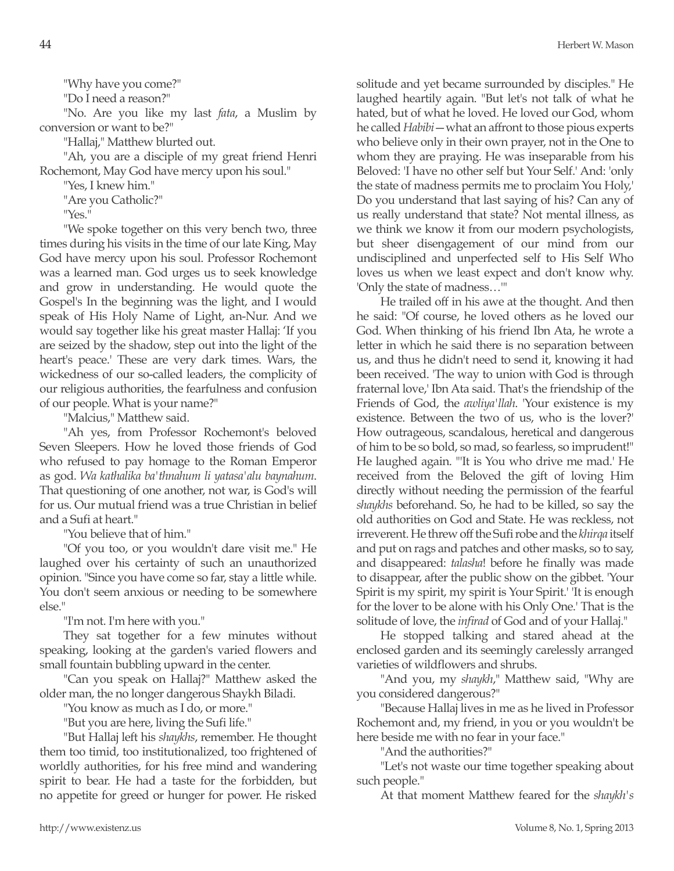"Do I need a reason?"

"No. Are you like my last *fata*, a Muslim by conversion or want to be?"

"Hallaj," Matthew blurted out.

"Ah, you are a disciple of my great friend Henri Rochemont, May God have mercy upon his soul."

"Yes, I knew him."

"Are you Catholic?"

"Yes."

"We spoke together on this very bench two, three times during his visits in the time of our late King, May God have mercy upon his soul. Professor Rochemont was a learned man. God urges us to seek knowledge and grow in understanding. He would quote the Gospel's In the beginning was the light, and I would speak of His Holy Name of Light, an-Nur. And we would say together like his great master Hallaj: 'If you are seized by the shadow, step out into the light of the heart's peace.' These are very dark times. Wars, the wickedness of our so-called leaders, the complicity of our religious authorities, the fearfulness and confusion of our people. What is your name?"

"Malcius," Matthew said.

"Ah yes, from Professor Rochemont's beloved Seven Sleepers. How he loved those friends of God who refused to pay homage to the Roman Emperor as god. *Wa kathalika ba'thnahum li yatasa'alu baynahum*. That questioning of one another, not war, is God's will for us. Our mutual friend was a true Christian in belief and a Sufi at heart."

"You believe that of him."

"Of you too, or you wouldn't dare visit me." He laughed over his certainty of such an unauthorized opinion. "Since you have come so far, stay a little while. You don't seem anxious or needing to be somewhere else."

"I'm not. I'm here with you."

They sat together for a few minutes without speaking, looking at the garden's varied flowers and small fountain bubbling upward in the center.

"Can you speak on Hallaj?" Matthew asked the older man, the no longer dangerous Shaykh Biladi.

"You know as much as I do, or more."

"But you are here, living the Sufi life."

"But Hallaj left his *shaykhs*, remember. He thought them too timid, too institutionalized, too frightened of worldly authorities, for his free mind and wandering spirit to bear. He had a taste for the forbidden, but no appetite for greed or hunger for power. He risked solitude and yet became surrounded by disciples." He laughed heartily again. "But let's not talk of what he hated, but of what he loved. He loved our God, whom he called *Habibi*—what an affront to those pious experts who believe only in their own prayer, not in the One to whom they are praying. He was inseparable from his Beloved: 'I have no other self but Your Self.' And: 'only the state of madness permits me to proclaim You Holy,' Do you understand that last saying of his? Can any of us really understand that state? Not mental illness, as we think we know it from our modern psychologists, but sheer disengagement of our mind from our undisciplined and unperfected self to His Self Who loves us when we least expect and don't know why. 'Only the state of madness…'"

He trailed off in his awe at the thought. And then he said: "Of course, he loved others as he loved our God. When thinking of his friend Ibn Ata, he wrote a letter in which he said there is no separation between us, and thus he didn't need to send it, knowing it had been received. 'The way to union with God is through fraternal love,' Ibn Ata said. That's the friendship of the Friends of God, the *awliya'llah*. 'Your existence is my existence. Between the two of us, who is the lover?' How outrageous, scandalous, heretical and dangerous of him to be so bold, so mad, so fearless, so imprudent!" He laughed again. "'It is You who drive me mad.' He received from the Beloved the gift of loving Him directly without needing the permission of the fearful *shaykhs* beforehand. So, he had to be killed, so say the old authorities on God and State. He was reckless, not irreverent. He threw off the Sufi robe and the *khirqa* itself and put on rags and patches and other masks, so to say, and disappeared: *talasha*! before he finally was made to disappear, after the public show on the gibbet. 'Your Spirit is my spirit, my spirit is Your Spirit.' 'It is enough for the lover to be alone with his Only One.' That is the solitude of love, the *infirad* of God and of your Hallaj."

He stopped talking and stared ahead at the enclosed garden and its seemingly carelessly arranged varieties of wildflowers and shrubs.

"And you, my *shaykh*," Matthew said, "Why are you considered dangerous?"

"Because Hallaj lives in me as he lived in Professor Rochemont and, my friend, in you or you wouldn't be here beside me with no fear in your face."

"And the authorities?"

"Let's not waste our time together speaking about such people."

At that moment Matthew feared for the *shaykh's*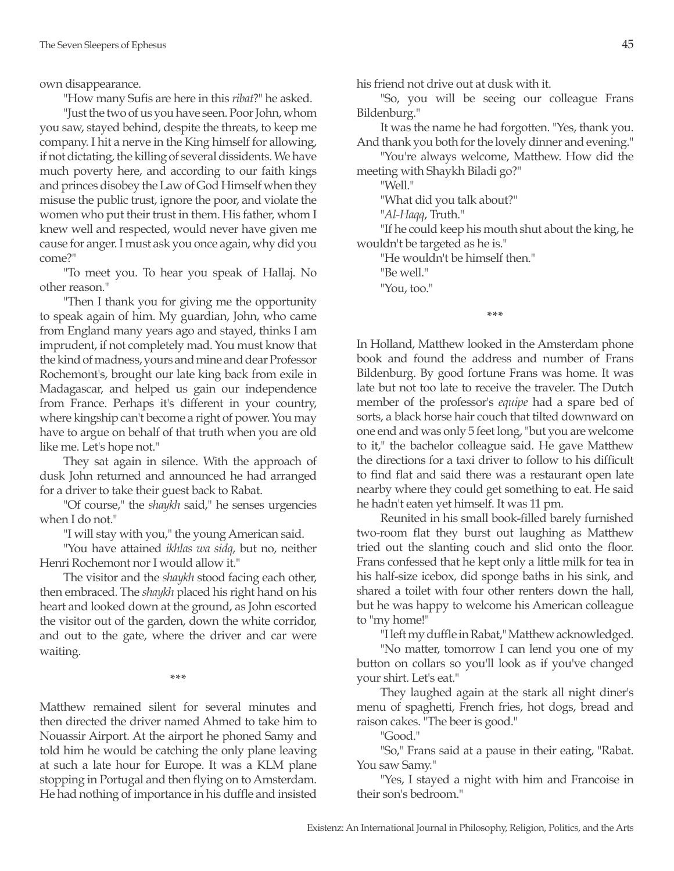own disappearance.

"How many Sufis are here in this *ribat*?" he asked.

"Just the two of us you have seen. Poor John, whom you saw, stayed behind, despite the threats, to keep me company. I hit a nerve in the King himself for allowing, if not dictating, the killing of several dissidents. We have much poverty here, and according to our faith kings and princes disobey the Law of God Himself when they misuse the public trust, ignore the poor, and violate the women who put their trust in them. His father, whom I knew well and respected, would never have given me cause for anger. I must ask you once again, why did you come?"

"To meet you. To hear you speak of Hallaj. No other reason."

"Then I thank you for giving me the opportunity to speak again of him. My guardian, John, who came from England many years ago and stayed, thinks I am imprudent, if not completely mad. You must know that the kind of madness, yours and mine and dear Professor Rochemont's, brought our late king back from exile in Madagascar, and helped us gain our independence from France. Perhaps it's different in your country, where kingship can't become a right of power. You may have to argue on behalf of that truth when you are old like me. Let's hope not."

They sat again in silence. With the approach of dusk John returned and announced he had arranged for a driver to take their guest back to Rabat.

"Of course," the *shaykh* said," he senses urgencies when I do not."

"I will stay with you," the young American said.

"You have attained *ikhlas wa sidq*, but no, neither Henri Rochemont nor I would allow it."

The visitor and the *shaykh* stood facing each other, then embraced. The *shaykh* placed his right hand on his heart and looked down at the ground, as John escorted the visitor out of the garden, down the white corridor, and out to the gate, where the driver and car were waiting.

**\*\*\***

Matthew remained silent for several minutes and then directed the driver named Ahmed to take him to Nouassir Airport. At the airport he phoned Samy and told him he would be catching the only plane leaving at such a late hour for Europe. It was a KLM plane stopping in Portugal and then flying on to Amsterdam. He had nothing of importance in his duffle and insisted his friend not drive out at dusk with it.

"So, you will be seeing our colleague Frans Bildenburg."

It was the name he had forgotten. "Yes, thank you. And thank you both for the lovely dinner and evening."

"You're always welcome, Matthew. How did the meeting with Shaykh Biladi go?"

"Well."

"What did you talk about?"

"*Al-Haqq*, Truth."

"If he could keep his mouth shut about the king, he wouldn't be targeted as he is."

"He wouldn't be himself then."

"Be well."

"You, too."

**\*\*\***

In Holland, Matthew looked in the Amsterdam phone book and found the address and number of Frans Bildenburg. By good fortune Frans was home. It was late but not too late to receive the traveler. The Dutch member of the professor's *equipe* had a spare bed of sorts, a black horse hair couch that tilted downward on one end and was only 5 feet long, "but you are welcome to it," the bachelor colleague said. He gave Matthew the directions for a taxi driver to follow to his difficult to find flat and said there was a restaurant open late nearby where they could get something to eat. He said he hadn't eaten yet himself. It was 11 pm.

Reunited in his small book-filled barely furnished two-room flat they burst out laughing as Matthew tried out the slanting couch and slid onto the floor. Frans confessed that he kept only a little milk for tea in his half-size icebox, did sponge baths in his sink, and shared a toilet with four other renters down the hall, but he was happy to welcome his American colleague to "my home!"

"I left my duffle in Rabat," Matthew acknowledged.

"No matter, tomorrow I can lend you one of my button on collars so you'll look as if you've changed your shirt. Let's eat."

They laughed again at the stark all night diner's menu of spaghetti, French fries, hot dogs, bread and raison cakes. "The beer is good."

"Good."

"So," Frans said at a pause in their eating, "Rabat. You saw Samy."

"Yes, I stayed a night with him and Francoise in their son's bedroom."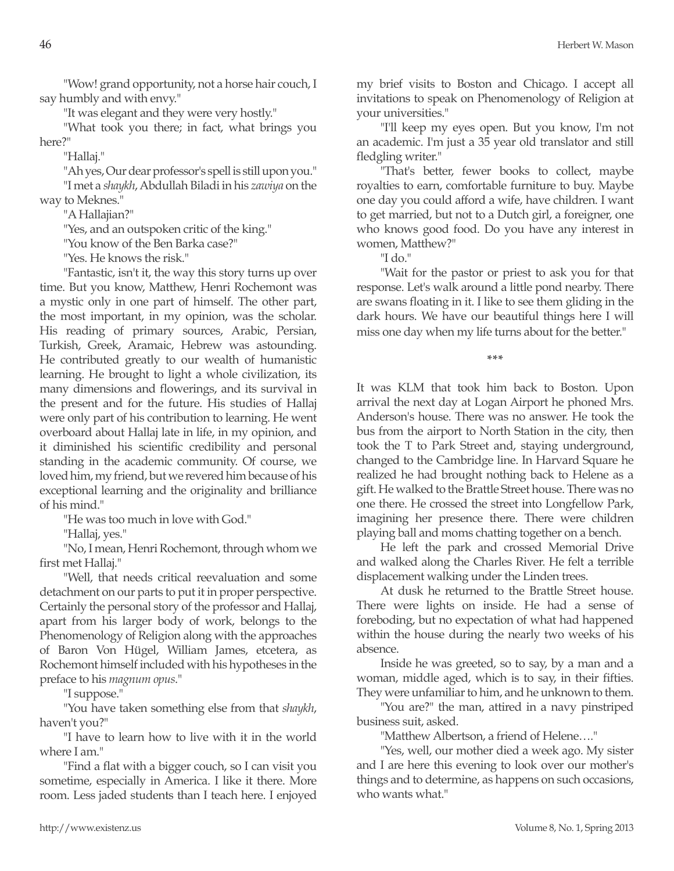"Wow! grand opportunity, not a horse hair couch, I say humbly and with envy."

"It was elegant and they were very hostly."

"What took you there; in fact, what brings you here?"

"Hallaj."

"Ah yes, Our dear professor's spell is still upon you."

"I met a *shaykh*, Abdullah Biladi in his *zawiya* on the way to Meknes."

"A Hallajian?"

"Yes, and an outspoken critic of the king."

"You know of the Ben Barka case?"

"Yes. He knows the risk."

"Fantastic, isn't it, the way this story turns up over time. But you know, Matthew, Henri Rochemont was a mystic only in one part of himself. The other part, the most important, in my opinion, was the scholar. His reading of primary sources, Arabic, Persian, Turkish, Greek, Aramaic, Hebrew was astounding. He contributed greatly to our wealth of humanistic learning. He brought to light a whole civilization, its many dimensions and flowerings, and its survival in the present and for the future. His studies of Hallaj were only part of his contribution to learning. He went overboard about Hallaj late in life, in my opinion, and it diminished his scientific credibility and personal standing in the academic community. Of course, we loved him, my friend, but we revered him because of his exceptional learning and the originality and brilliance of his mind."

"He was too much in love with God."

"Hallaj, yes."

"No, I mean, Henri Rochemont, through whom we first met Hallaj."

"Well, that needs critical reevaluation and some detachment on our parts to put it in proper perspective. Certainly the personal story of the professor and Hallaj, apart from his larger body of work, belongs to the Phenomenology of Religion along with the approaches of Baron Von Hügel, William James, etcetera, as Rochemont himself included with his hypotheses in the preface to his *magnum opus*."

"I suppose."

"You have taken something else from that *shaykh*, haven't you?"

"I have to learn how to live with it in the world where I am."

"Find a flat with a bigger couch, so I can visit you sometime, especially in America. I like it there. More room. Less jaded students than I teach here. I enjoyed my brief visits to Boston and Chicago. I accept all invitations to speak on Phenomenology of Religion at your universities."

"I'll keep my eyes open. But you know, I'm not an academic. I'm just a 35 year old translator and still fledgling writer."

"That's better, fewer books to collect, maybe royalties to earn, comfortable furniture to buy. Maybe one day you could afford a wife, have children. I want to get married, but not to a Dutch girl, a foreigner, one who knows good food. Do you have any interest in women, Matthew?"

"I do."

"Wait for the pastor or priest to ask you for that response. Let's walk around a little pond nearby. There are swans floating in it. I like to see them gliding in the dark hours. We have our beautiful things here I will miss one day when my life turns about for the better."

**\*\*\***

It was KLM that took him back to Boston. Upon arrival the next day at Logan Airport he phoned Mrs. Anderson's house. There was no answer. He took the bus from the airport to North Station in the city, then took the T to Park Street and, staying underground, changed to the Cambridge line. In Harvard Square he realized he had brought nothing back to Helene as a gift. He walked to the Brattle Street house. There was no one there. He crossed the street into Longfellow Park, imagining her presence there. There were children playing ball and moms chatting together on a bench.

He left the park and crossed Memorial Drive and walked along the Charles River. He felt a terrible displacement walking under the Linden trees.

At dusk he returned to the Brattle Street house. There were lights on inside. He had a sense of foreboding, but no expectation of what had happened within the house during the nearly two weeks of his absence.

Inside he was greeted, so to say, by a man and a woman, middle aged, which is to say, in their fifties. They were unfamiliar to him, and he unknown to them.

"You are?" the man, attired in a navy pinstriped business suit, asked.

"Matthew Albertson, a friend of Helene…."

"Yes, well, our mother died a week ago. My sister and I are here this evening to look over our mother's things and to determine, as happens on such occasions, who wants what."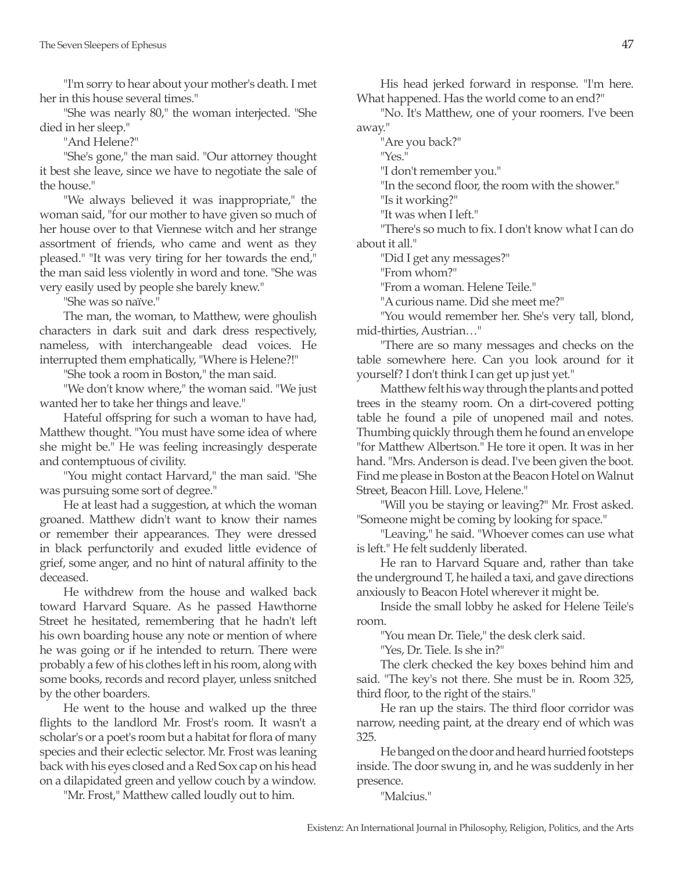"I'm sorry to hear about your mother's death. I met her in this house several times."

"She was nearly 80," the woman interjected. "She died in her sleep."

"And Helene?"

"She's gone," the man said. "Our attorney thought it best she leave, since we have to negotiate the sale of the house."

"We always believed it was inappropriate," the woman said, "for our mother to have given so much of her house over to that Viennese witch and her strange assortment of friends, who came and went as they pleased." "It was very tiring for her towards the end," the man said less violently in word and tone. "She was very easily used by people she barely knew."

"She was so naïve."

The man, the woman, to Matthew, were ghoulish characters in dark suit and dark dress respectively, nameless, with interchangeable dead voices. He interrupted them emphatically, "Where is Helene?!"

"She took a room in Boston," the man said.

"We don't know where," the woman said. "We just wanted her to take her things and leave."

Hateful offspring for such a woman to have had, Matthew thought. "You must have some idea of where she might be." He was feeling increasingly desperate and contemptuous of civility.

"You might contact Harvard," the man said. "She was pursuing some sort of degree."

He at least had a suggestion, at which the woman groaned. Matthew didn't want to know their names or remember their appearances. They were dressed in black perfunctorily and exuded little evidence of grief, some anger, and no hint of natural affinity to the deceased.

He withdrew from the house and walked back toward Harvard Square. As he passed Hawthorne Street he hesitated, remembering that he hadn't left his own boarding house any note or mention of where he was going or if he intended to return. There were probably a few of his clothes left in his room, along with some books, records and record player, unless snitched by the other boarders.

He went to the house and walked up the three flights to the landlord Mr. Frost's room. It wasn't a scholar's or a poet's room but a habitat for flora of many species and their eclectic selector. Mr. Frost was leaning back with his eyes closed and a Red Sox cap on his head on a dilapidated green and yellow couch by a window.

"Mr. Frost," Matthew called loudly out to him.

His head jerked forward in response. "I'm here. What happened. Has the world come to an end?"

"No. It's Matthew, one of your roomers. I've been away."

"Are you back?"

"Yes."

"I don't remember you."

"In the second floor, the room with the shower."

"Is it working?" "It was when I left."

"There's so much to fix. I don't know what I can do about it all."

"Did I get any messages?"

"From whom?"

"From a woman. Helene Teile."

"A curious name. Did she meet me?"

"You would remember her. She's very tall, blond, mid-thirties, Austrian…"

"There are so many messages and checks on the table somewhere here. Can you look around for it yourself? I don't think I can get up just yet."

Matthew felt his way through the plants and potted trees in the steamy room. On a dirt-covered potting table he found a pile of unopened mail and notes. Thumbing quickly through them he found an envelope "for Matthew Albertson." He tore it open. It was in her hand. "Mrs. Anderson is dead. I've been given the boot. Find me please in Boston at the Beacon Hotel on Walnut Street, Beacon Hill. Love, Helene."

"Will you be staying or leaving?" Mr. Frost asked. "Someone might be coming by looking for space."

"Leaving," he said. "Whoever comes can use what is left." He felt suddenly liberated.

He ran to Harvard Square and, rather than take the underground T, he hailed a taxi, and gave directions anxiously to Beacon Hotel wherever it might be.

Inside the small lobby he asked for Helene Teile's room.

"You mean Dr. Tiele," the desk clerk said.

"Yes, Dr. Tiele. Is she in?"

The clerk checked the key boxes behind him and said. "The key's not there. She must be in. Room 325, third floor, to the right of the stairs."

He ran up the stairs. The third floor corridor was narrow, needing paint, at the dreary end of which was 325.

He banged on the door and heard hurried footsteps inside. The door swung in, and he was suddenly in her presence.

"Malcius."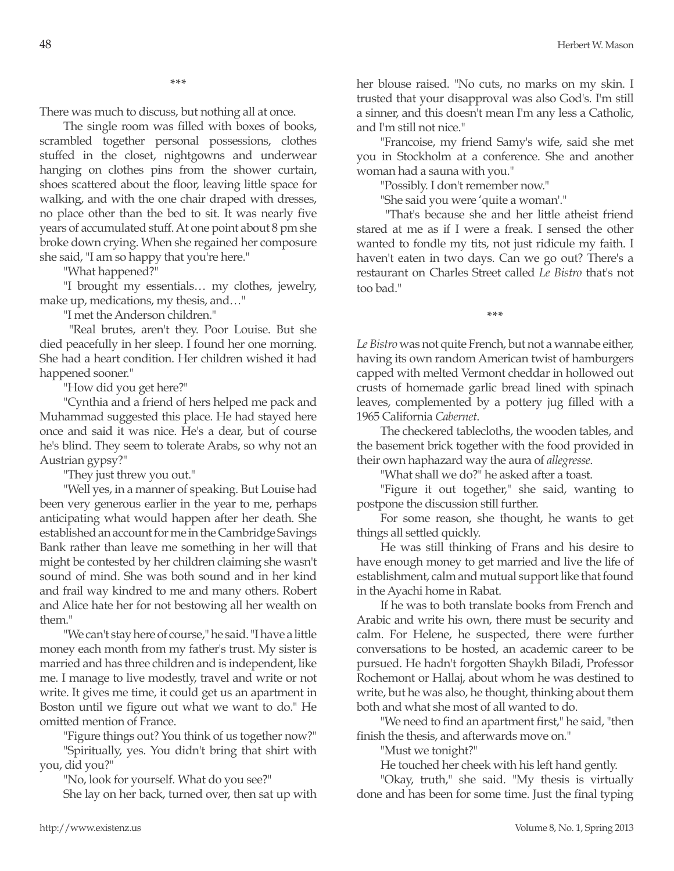**\*\*\***

There was much to discuss, but nothing all at once.

The single room was filled with boxes of books, scrambled together personal possessions, clothes stuffed in the closet, nightgowns and underwear hanging on clothes pins from the shower curtain, shoes scattered about the floor, leaving little space for walking, and with the one chair draped with dresses, no place other than the bed to sit. It was nearly five years of accumulated stuff. At one point about 8 pm she broke down crying. When she regained her composure she said, "I am so happy that you're here."

"What happened?"

"I brought my essentials… my clothes, jewelry, make up, medications, my thesis, and…"

"I met the Anderson children."

 "Real brutes, aren't they. Poor Louise. But she died peacefully in her sleep. I found her one morning. She had a heart condition. Her children wished it had happened sooner."

"How did you get here?"

"Cynthia and a friend of hers helped me pack and Muhammad suggested this place. He had stayed here once and said it was nice. He's a dear, but of course he's blind. They seem to tolerate Arabs, so why not an Austrian gypsy?"

"They just threw you out."

"Well yes, in a manner of speaking. But Louise had been very generous earlier in the year to me, perhaps anticipating what would happen after her death. She established an account for me in the Cambridge Savings Bank rather than leave me something in her will that might be contested by her children claiming she wasn't sound of mind. She was both sound and in her kind and frail way kindred to me and many others. Robert and Alice hate her for not bestowing all her wealth on them."

"We can't stay here of course," he said. "I have a little money each month from my father's trust. My sister is married and has three children and is independent, like me. I manage to live modestly, travel and write or not write. It gives me time, it could get us an apartment in Boston until we figure out what we want to do." He omitted mention of France.

"Figure things out? You think of us together now?"

"Spiritually, yes. You didn't bring that shirt with you, did you?"

"No, look for yourself. What do you see?"

She lay on her back, turned over, then sat up with

her blouse raised. "No cuts, no marks on my skin. I trusted that your disapproval was also God's. I'm still a sinner, and this doesn't mean I'm any less a Catholic, and I'm still not nice."

"Francoise, my friend Samy's wife, said she met you in Stockholm at a conference. She and another woman had a sauna with you."

"Possibly. I don't remember now."

"She said you were 'quite a woman'."

 "That's because she and her little atheist friend stared at me as if I were a freak. I sensed the other wanted to fondle my tits, not just ridicule my faith. I haven't eaten in two days. Can we go out? There's a restaurant on Charles Street called *Le Bistro* that's not too bad."

**\*\*\***

*Le Bistro* was not quite French, but not a wannabe either, having its own random American twist of hamburgers capped with melted Vermont cheddar in hollowed out crusts of homemade garlic bread lined with spinach leaves, complemented by a pottery jug filled with a 1965 California *Cabernet*.

The checkered tablecloths, the wooden tables, and the basement brick together with the food provided in their own haphazard way the aura of *allegresse*.

"What shall we do?" he asked after a toast.

"Figure it out together," she said, wanting to postpone the discussion still further.

For some reason, she thought, he wants to get things all settled quickly.

He was still thinking of Frans and his desire to have enough money to get married and live the life of establishment, calm and mutual support like that found in the Ayachi home in Rabat.

If he was to both translate books from French and Arabic and write his own, there must be security and calm. For Helene, he suspected, there were further conversations to be hosted, an academic career to be pursued. He hadn't forgotten Shaykh Biladi, Professor Rochemont or Hallaj, about whom he was destined to write, but he was also, he thought, thinking about them both and what she most of all wanted to do.

"We need to find an apartment first," he said, "then finish the thesis, and afterwards move on."

"Must we tonight?"

He touched her cheek with his left hand gently.

"Okay, truth," she said. "My thesis is virtually done and has been for some time. Just the final typing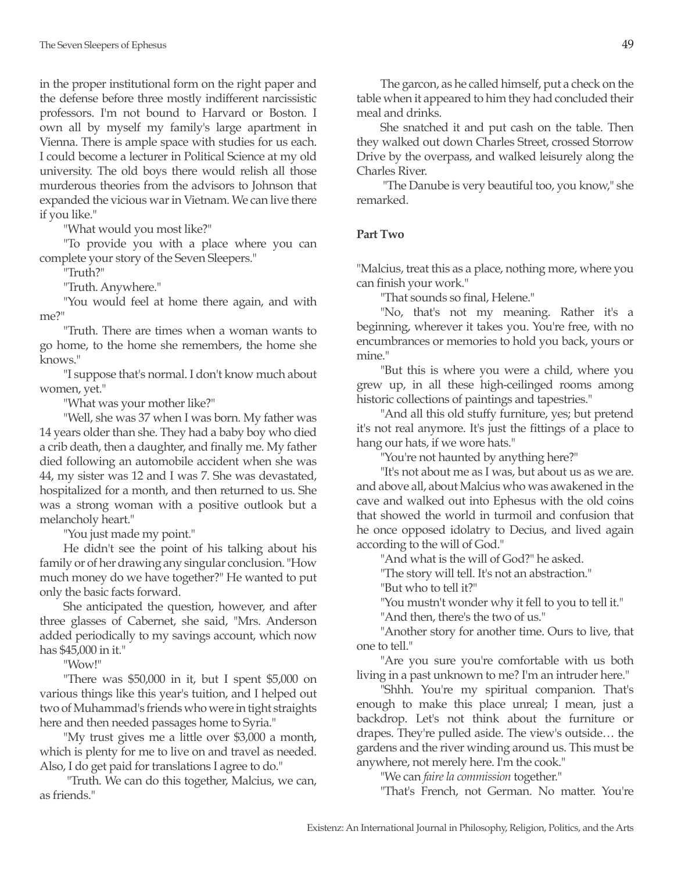in the proper institutional form on the right paper and the defense before three mostly indifferent narcissistic professors. I'm not bound to Harvard or Boston. I own all by myself my family's large apartment in Vienna. There is ample space with studies for us each. I could become a lecturer in Political Science at my old university. The old boys there would relish all those murderous theories from the advisors to Johnson that expanded the vicious war in Vietnam. We can live there if you like."

"What would you most like?"

"To provide you with a place where you can complete your story of the Seven Sleepers."

"Truth?"

"Truth. Anywhere."

"You would feel at home there again, and with me?"

"Truth. There are times when a woman wants to go home, to the home she remembers, the home she knows."

"I suppose that's normal. I don't know much about women, yet."

"What was your mother like?"

"Well, she was 37 when I was born. My father was 14 years older than she. They had a baby boy who died a crib death, then a daughter, and finally me. My father died following an automobile accident when she was 44, my sister was 12 and I was 7. She was devastated, hospitalized for a month, and then returned to us. She was a strong woman with a positive outlook but a melancholy heart."

"You just made my point."

He didn't see the point of his talking about his family or of her drawing any singular conclusion. "How much money do we have together?" He wanted to put only the basic facts forward.

She anticipated the question, however, and after three glasses of Cabernet, she said, "Mrs. Anderson added periodically to my savings account, which now has \$45,000 in it."

"Wow!"

"There was \$50,000 in it, but I spent \$5,000 on various things like this year's tuition, and I helped out two of Muhammad's friends who were in tight straights here and then needed passages home to Syria."

"My trust gives me a little over \$3,000 a month, which is plenty for me to live on and travel as needed. Also, I do get paid for translations I agree to do."

 "Truth. We can do this together, Malcius, we can, as friends."

The garcon, as he called himself, put a check on the table when it appeared to him they had concluded their meal and drinks.

She snatched it and put cash on the table. Then they walked out down Charles Street, crossed Storrow Drive by the overpass, and walked leisurely along the Charles River.

 "The Danube is very beautiful too, you know," she remarked.

# **Part Two**

"Malcius, treat this as a place, nothing more, where you can finish your work."

"That sounds so final, Helene."

"No, that's not my meaning. Rather it's a beginning, wherever it takes you. You're free, with no encumbrances or memories to hold you back, yours or mine."

"But this is where you were a child, where you grew up, in all these high-ceilinged rooms among historic collections of paintings and tapestries."

"And all this old stuffy furniture, yes; but pretend it's not real anymore. It's just the fittings of a place to hang our hats, if we wore hats."

"You're not haunted by anything here?"

"It's not about me as I was, but about us as we are. and above all, about Malcius who was awakened in the cave and walked out into Ephesus with the old coins that showed the world in turmoil and confusion that he once opposed idolatry to Decius, and lived again according to the will of God."

"And what is the will of God?" he asked.

"The story will tell. It's not an abstraction."

"But who to tell it?"

"You mustn't wonder why it fell to you to tell it."

"And then, there's the two of us."

"Another story for another time. Ours to live, that one to tell."

"Are you sure you're comfortable with us both living in a past unknown to me? I'm an intruder here."

"Shhh. You're my spiritual companion. That's enough to make this place unreal; I mean, just a backdrop. Let's not think about the furniture or drapes. They're pulled aside. The view's outside… the gardens and the river winding around us. This must be anywhere, not merely here. I'm the cook."

"We can *faire la commission* together."

"That's French, not German. No matter. You're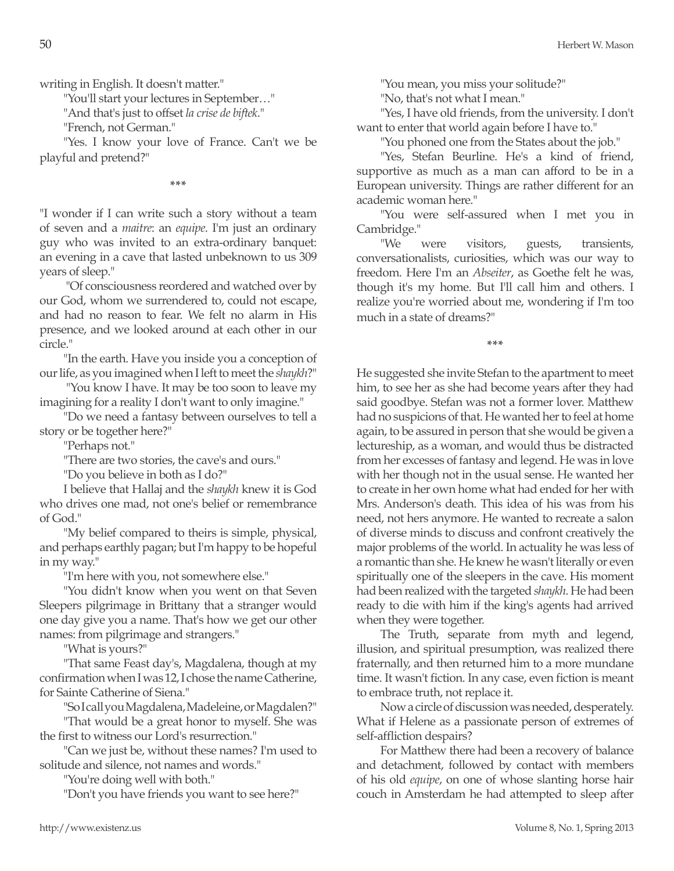writing in English. It doesn't matter."

"You'll start your lectures in September…"

"And that's just to offset *la crise de biftek*."

"French, not German."

"Yes. I know your love of France. Can't we be playful and pretend?"

**\*\*\***

"I wonder if I can write such a story without a team of seven and a *maitre*: an *equipe*. I'm just an ordinary guy who was invited to an extra-ordinary banquet: an evening in a cave that lasted unbeknown to us 309 years of sleep."

 "Of consciousness reordered and watched over by our God, whom we surrendered to, could not escape, and had no reason to fear. We felt no alarm in His presence, and we looked around at each other in our circle."

"In the earth. Have you inside you a conception of our life, as you imagined when I left to meet the *shaykh*?"

 "You know I have. It may be too soon to leave my imagining for a reality I don't want to only imagine."

"Do we need a fantasy between ourselves to tell a story or be together here?"

"Perhaps not."

"There are two stories, the cave's and ours."

"Do you believe in both as I do?"

I believe that Hallaj and the *shaykh* knew it is God who drives one mad, not one's belief or remembrance of God."

"My belief compared to theirs is simple, physical, and perhaps earthly pagan; but I'm happy to be hopeful in my way."

"I'm here with you, not somewhere else."

"You didn't know when you went on that Seven Sleepers pilgrimage in Brittany that a stranger would one day give you a name. That's how we get our other names: from pilgrimage and strangers."

"What is yours?"

"That same Feast day's, Magdalena, though at my confirmation when I was 12, I chose the name Catherine, for Sainte Catherine of Siena."

"So I call you Magdalena, Madeleine, or Magdalen?" "That would be a great honor to myself. She was

the first to witness our Lord's resurrection."

"Can we just be, without these names? I'm used to solitude and silence, not names and words."

"You're doing well with both."

"Don't you have friends you want to see here?"

"You mean, you miss your solitude?"

"No, that's not what I mean."

"Yes, I have old friends, from the university. I don't want to enter that world again before I have to."

"You phoned one from the States about the job."

"Yes, Stefan Beurline. He's a kind of friend, supportive as much as a man can afford to be in a European university. Things are rather different for an academic woman here."

"You were self-assured when I met you in Cambridge."

"We were visitors, guests, transients, conversationalists, curiosities, which was our way to freedom. Here I'm an *Abseiter*, as Goethe felt he was, though it's my home. But I'll call him and others. I realize you're worried about me, wondering if I'm too much in a state of dreams?"

**\*\*\***

He suggested she invite Stefan to the apartment to meet him, to see her as she had become years after they had said goodbye. Stefan was not a former lover. Matthew had no suspicions of that. He wanted her to feel at home again, to be assured in person that she would be given a lectureship, as a woman, and would thus be distracted from her excesses of fantasy and legend. He was in love with her though not in the usual sense. He wanted her to create in her own home what had ended for her with Mrs. Anderson's death. This idea of his was from his need, not hers anymore. He wanted to recreate a salon of diverse minds to discuss and confront creatively the major problems of the world. In actuality he was less of a romantic than she. He knew he wasn't literally or even spiritually one of the sleepers in the cave. His moment had been realized with the targeted *shaykh*. He had been ready to die with him if the king's agents had arrived when they were together.

The Truth, separate from myth and legend, illusion, and spiritual presumption, was realized there fraternally, and then returned him to a more mundane time. It wasn't fiction. In any case, even fiction is meant to embrace truth, not replace it.

Now a circle of discussion was needed, desperately. What if Helene as a passionate person of extremes of self-affliction despairs?

For Matthew there had been a recovery of balance and detachment, followed by contact with members of his old *equipe*, on one of whose slanting horse hair couch in Amsterdam he had attempted to sleep after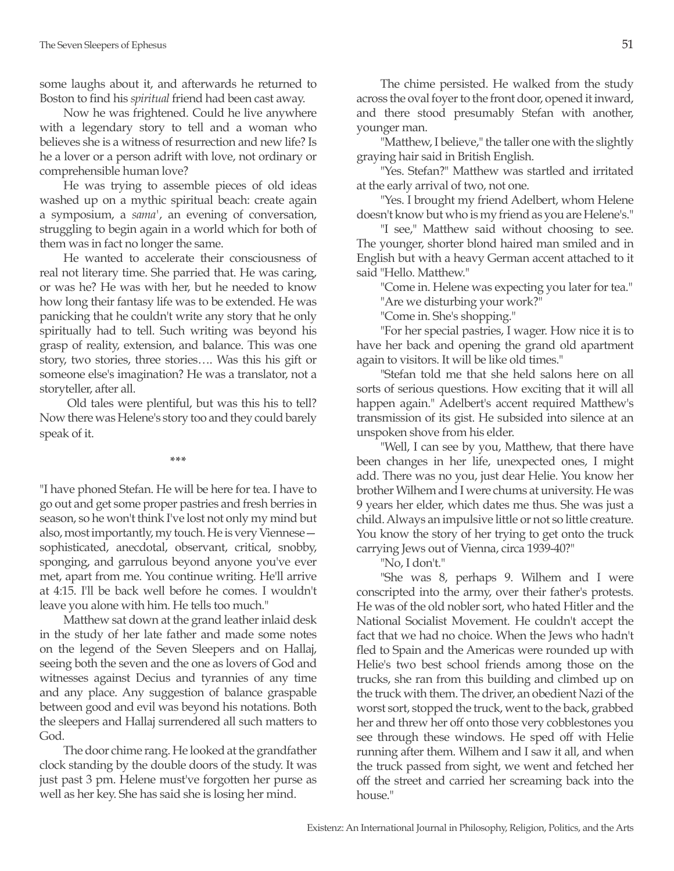some laughs about it, and afterwards he returned to Boston to find his *spiritual* friend had been cast away.

Now he was frightened. Could he live anywhere with a legendary story to tell and a woman who believes she is a witness of resurrection and new life? Is he a lover or a person adrift with love, not ordinary or comprehensible human love?

He was trying to assemble pieces of old ideas washed up on a mythic spiritual beach: create again a symposium, a *sama'*, an evening of conversation, struggling to begin again in a world which for both of them was in fact no longer the same.

He wanted to accelerate their consciousness of real not literary time. She parried that. He was caring, or was he? He was with her, but he needed to know how long their fantasy life was to be extended. He was panicking that he couldn't write any story that he only spiritually had to tell. Such writing was beyond his grasp of reality, extension, and balance. This was one story, two stories, three stories…. Was this his gift or someone else's imagination? He was a translator, not a storyteller, after all.

 Old tales were plentiful, but was this his to tell? Now there was Helene's story too and they could barely speak of it.

**\*\*\***

"I have phoned Stefan. He will be here for tea. I have to go out and get some proper pastries and fresh berries in season, so he won't think I've lost not only my mind but also, most importantly, my touch. He is very Viennese sophisticated, anecdotal, observant, critical, snobby, sponging, and garrulous beyond anyone you've ever met, apart from me. You continue writing. He'll arrive at 4:15. I'll be back well before he comes. I wouldn't leave you alone with him. He tells too much."

Matthew sat down at the grand leather inlaid desk in the study of her late father and made some notes on the legend of the Seven Sleepers and on Hallaj, seeing both the seven and the one as lovers of God and witnesses against Decius and tyrannies of any time and any place. Any suggestion of balance graspable between good and evil was beyond his notations. Both the sleepers and Hallaj surrendered all such matters to God.

The door chime rang. He looked at the grandfather clock standing by the double doors of the study. It was just past 3 pm. Helene must've forgotten her purse as well as her key. She has said she is losing her mind.

The chime persisted. He walked from the study across the oval foyer to the front door, opened it inward, and there stood presumably Stefan with another, younger man.

"Matthew, I believe," the taller one with the slightly graying hair said in British English.

"Yes. Stefan?" Matthew was startled and irritated at the early arrival of two, not one.

"Yes. I brought my friend Adelbert, whom Helene doesn't know but who is my friend as you are Helene's."

"I see," Matthew said without choosing to see. The younger, shorter blond haired man smiled and in English but with a heavy German accent attached to it said "Hello. Matthew."

"Come in. Helene was expecting you later for tea."

"Are we disturbing your work?"

"Come in. She's shopping."

"For her special pastries, I wager. How nice it is to have her back and opening the grand old apartment again to visitors. It will be like old times."

"Stefan told me that she held salons here on all sorts of serious questions. How exciting that it will all happen again." Adelbert's accent required Matthew's transmission of its gist. He subsided into silence at an unspoken shove from his elder.

"Well, I can see by you, Matthew, that there have been changes in her life, unexpected ones, I might add. There was no you, just dear Helie. You know her brother Wilhem and I were chums at university. He was 9 years her elder, which dates me thus. She was just a child. Always an impulsive little or not so little creature. You know the story of her trying to get onto the truck carrying Jews out of Vienna, circa 1939-40?"

"No, I don't."

"She was 8, perhaps 9. Wilhem and I were conscripted into the army, over their father's protests. He was of the old nobler sort, who hated Hitler and the National Socialist Movement. He couldn't accept the fact that we had no choice. When the Jews who hadn't fled to Spain and the Americas were rounded up with Helie's two best school friends among those on the trucks, she ran from this building and climbed up on the truck with them. The driver, an obedient Nazi of the worst sort, stopped the truck, went to the back, grabbed her and threw her off onto those very cobblestones you see through these windows. He sped off with Helie running after them. Wilhem and I saw it all, and when the truck passed from sight, we went and fetched her off the street and carried her screaming back into the house."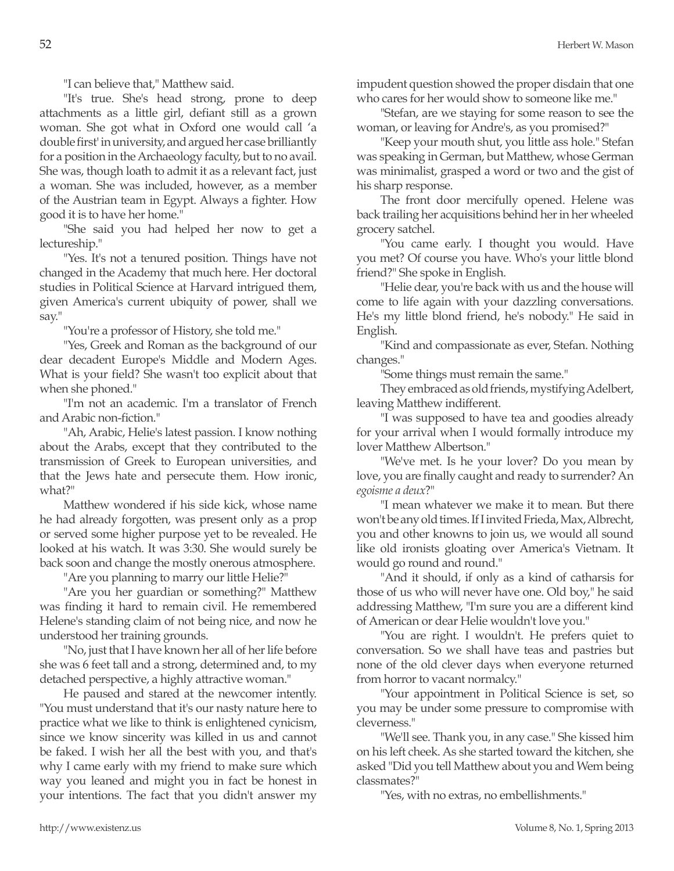"I can believe that," Matthew said.

"It's true. She's head strong, prone to deep attachments as a little girl, defiant still as a grown woman. She got what in Oxford one would call 'a double first' in university, and argued her case brilliantly for a position in the Archaeology faculty, but to no avail. She was, though loath to admit it as a relevant fact, just a woman. She was included, however, as a member of the Austrian team in Egypt. Always a fighter. How good it is to have her home."

"She said you had helped her now to get a lectureship."

"Yes. It's not a tenured position. Things have not changed in the Academy that much here. Her doctoral studies in Political Science at Harvard intrigued them, given America's current ubiquity of power, shall we say."

"You're a professor of History, she told me."

"Yes, Greek and Roman as the background of our dear decadent Europe's Middle and Modern Ages. What is your field? She wasn't too explicit about that when she phoned."

"I'm not an academic. I'm a translator of French and Arabic non-fiction."

"Ah, Arabic, Helie's latest passion. I know nothing about the Arabs, except that they contributed to the transmission of Greek to European universities, and that the Jews hate and persecute them. How ironic, what?"

Matthew wondered if his side kick, whose name he had already forgotten, was present only as a prop or served some higher purpose yet to be revealed. He looked at his watch. It was 3:30. She would surely be back soon and change the mostly onerous atmosphere.

"Are you planning to marry our little Helie?"

"Are you her guardian or something?" Matthew was finding it hard to remain civil. He remembered Helene's standing claim of not being nice, and now he understood her training grounds.

"No, just that I have known her all of her life before she was 6 feet tall and a strong, determined and, to my detached perspective, a highly attractive woman."

He paused and stared at the newcomer intently. "You must understand that it's our nasty nature here to practice what we like to think is enlightened cynicism, since we know sincerity was killed in us and cannot be faked. I wish her all the best with you, and that's why I came early with my friend to make sure which way you leaned and might you in fact be honest in your intentions. The fact that you didn't answer my impudent question showed the proper disdain that one who cares for her would show to someone like me."

"Stefan, are we staying for some reason to see the woman, or leaving for Andre's, as you promised?"

"Keep your mouth shut, you little ass hole." Stefan was speaking in German, but Matthew, whose German was minimalist, grasped a word or two and the gist of his sharp response.

The front door mercifully opened. Helene was back trailing her acquisitions behind her in her wheeled grocery satchel.

"You came early. I thought you would. Have you met? Of course you have. Who's your little blond friend?" She spoke in English.

"Helie dear, you're back with us and the house will come to life again with your dazzling conversations. He's my little blond friend, he's nobody." He said in English.

"Kind and compassionate as ever, Stefan. Nothing changes."

"Some things must remain the same."

They embraced as old friends, mystifying Adelbert, leaving Matthew indifferent.

"I was supposed to have tea and goodies already for your arrival when I would formally introduce my lover Matthew Albertson."

"We've met. Is he your lover? Do you mean by love, you are finally caught and ready to surrender? An *egoisme a deux*?"

"I mean whatever we make it to mean. But there won't be any old times. If I invited Frieda, Max, Albrecht, you and other knowns to join us, we would all sound like old ironists gloating over America's Vietnam. It would go round and round."

"And it should, if only as a kind of catharsis for those of us who will never have one. Old boy," he said addressing Matthew, "I'm sure you are a different kind of American or dear Helie wouldn't love you."

"You are right. I wouldn't. He prefers quiet to conversation. So we shall have teas and pastries but none of the old clever days when everyone returned from horror to vacant normalcy."

"Your appointment in Political Science is set, so you may be under some pressure to compromise with cleverness."

"We'll see. Thank you, in any case." She kissed him on his left cheek. As she started toward the kitchen, she asked "Did you tell Matthew about you and Wem being classmates?"

"Yes, with no extras, no embellishments."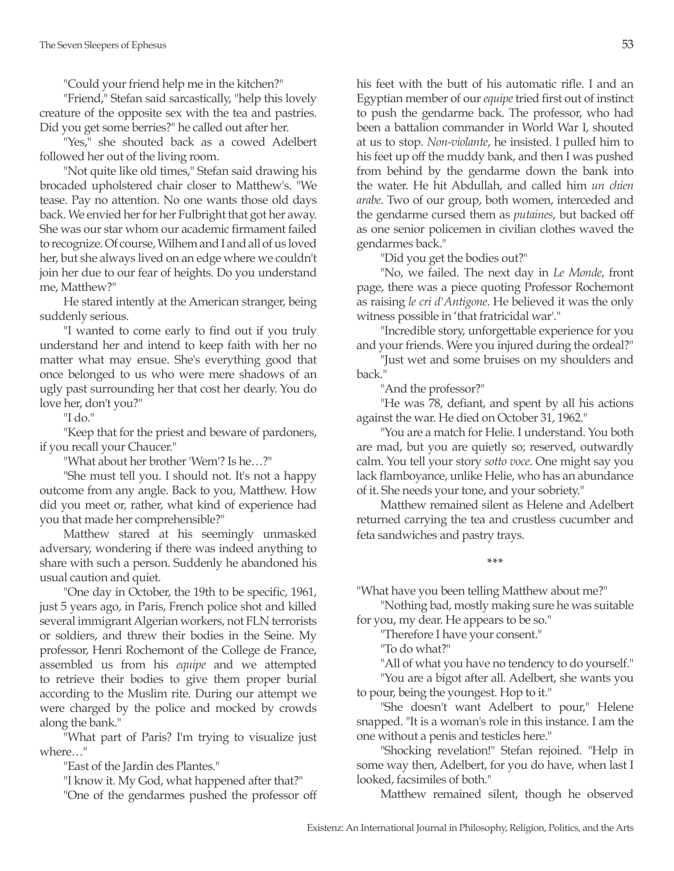"Could your friend help me in the kitchen?"

"Friend," Stefan said sarcastically, "help this lovely creature of the opposite sex with the tea and pastries. Did you get some berries?" he called out after her.

"Yes," she shouted back as a cowed Adelbert followed her out of the living room.

"Not quite like old times," Stefan said drawing his brocaded upholstered chair closer to Matthew's. "We tease. Pay no attention. No one wants those old days back. We envied her for her Fulbright that got her away. She was our star whom our academic firmament failed to recognize. Of course, Wilhem and I and all of us loved her, but she always lived on an edge where we couldn't join her due to our fear of heights. Do you understand me, Matthew?"

He stared intently at the American stranger, being suddenly serious.

"I wanted to come early to find out if you truly understand her and intend to keep faith with her no matter what may ensue. She's everything good that once belonged to us who were mere shadows of an ugly past surrounding her that cost her dearly. You do love her, don't you?"

"I do."

"Keep that for the priest and beware of pardoners, if you recall your Chaucer."

"What about her brother 'Wem'? Is he…?"

"She must tell you. I should not. It's not a happy outcome from any angle. Back to you, Matthew. How did you meet or, rather, what kind of experience had you that made her comprehensible?"

Matthew stared at his seemingly unmasked adversary, wondering if there was indeed anything to share with such a person. Suddenly he abandoned his usual caution and quiet.

"One day in October, the 19th to be specific, 1961, just 5 years ago, in Paris, French police shot and killed several immigrant Algerian workers, not FLN terrorists or soldiers, and threw their bodies in the Seine. My professor, Henri Rochemont of the College de France, assembled us from his *equipe* and we attempted to retrieve their bodies to give them proper burial according to the Muslim rite. During our attempt we were charged by the police and mocked by crowds along the bank."

"What part of Paris? I'm trying to visualize just where…"

"East of the Jardin des Plantes."

"I know it. My God, what happened after that?" "One of the gendarmes pushed the professor off his feet with the butt of his automatic rifle. I and an Egyptian member of our *equipe* tried first out of instinct to push the gendarme back. The professor, who had been a battalion commander in World War I, shouted at us to stop. *Non-violante*, he insisted. I pulled him to his feet up off the muddy bank, and then I was pushed from behind by the gendarme down the bank into the water. He hit Abdullah, and called him *un chien arabe*. Two of our group, both women, interceded and the gendarme cursed them as *putaines*, but backed off as one senior policemen in civilian clothes waved the gendarmes back."

"Did you get the bodies out?"

"No, we failed. The next day in *Le Monde*, front page, there was a piece quoting Professor Rochemont as raising *le cri d'Antigone*. He believed it was the only witness possible in 'that fratricidal war'."

"Incredible story, unforgettable experience for you and your friends. Were you injured during the ordeal?"

"Just wet and some bruises on my shoulders and back."

"And the professor?"

"He was 78, defiant, and spent by all his actions against the war. He died on October 31, 1962."

"You are a match for Helie. I understand. You both are mad, but you are quietly so; reserved, outwardly calm. You tell your story *sotto voce*. One might say you lack flamboyance, unlike Helie, who has an abundance of it. She needs your tone, and your sobriety."

Matthew remained silent as Helene and Adelbert returned carrying the tea and crustless cucumber and feta sandwiches and pastry trays.

**\*\*\***

"What have you been telling Matthew about me?"

"Nothing bad, mostly making sure he was suitable for you, my dear. He appears to be so."

"Therefore I have your consent."

"To do what?"

"All of what you have no tendency to do yourself."

"You are a bigot after all. Adelbert, she wants you to pour, being the youngest. Hop to it."

"She doesn't want Adelbert to pour," Helene snapped. "It is a woman's role in this instance. I am the one without a penis and testicles here."

"Shocking revelation!" Stefan rejoined. "Help in some way then, Adelbert, for you do have, when last I looked, facsimiles of both."

Matthew remained silent, though he observed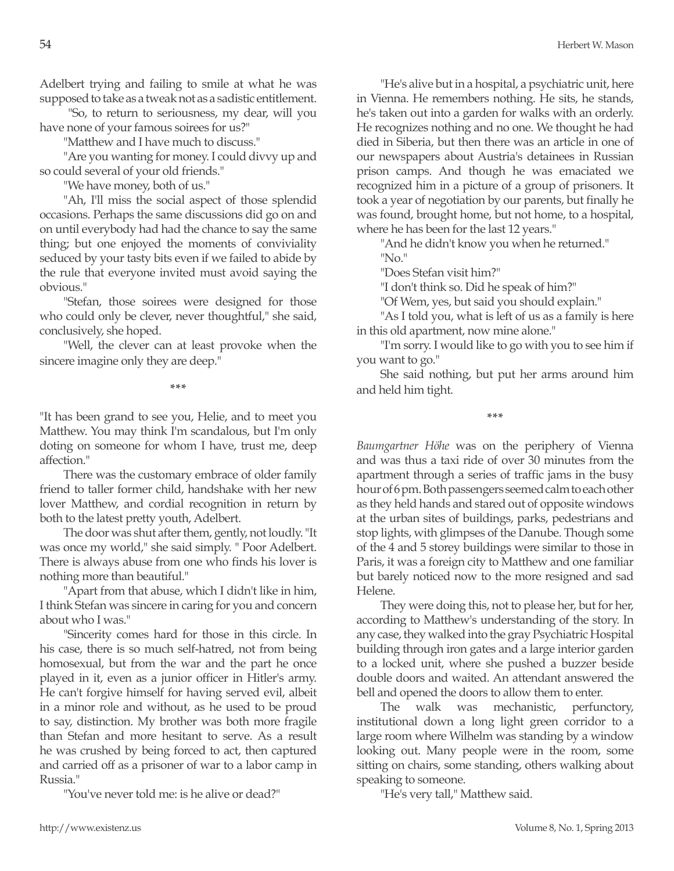Adelbert trying and failing to smile at what he was supposed to take as a tweak not as a sadistic entitlement.

 "So, to return to seriousness, my dear, will you have none of your famous soirees for us?"

"Matthew and I have much to discuss."

"Are you wanting for money. I could divvy up and so could several of your old friends."

"We have money, both of us."

"Ah, I'll miss the social aspect of those splendid occasions. Perhaps the same discussions did go on and on until everybody had had the chance to say the same thing; but one enjoyed the moments of conviviality seduced by your tasty bits even if we failed to abide by the rule that everyone invited must avoid saying the obvious."

"Stefan, those soirees were designed for those who could only be clever, never thoughtful," she said, conclusively, she hoped.

"Well, the clever can at least provoke when the sincere imagine only they are deep."

**\*\*\***

"It has been grand to see you, Helie, and to meet you Matthew. You may think I'm scandalous, but I'm only doting on someone for whom I have, trust me, deep affection."

There was the customary embrace of older family friend to taller former child, handshake with her new lover Matthew, and cordial recognition in return by both to the latest pretty youth, Adelbert.

The door was shut after them, gently, not loudly. "It was once my world," she said simply. " Poor Adelbert. There is always abuse from one who finds his lover is nothing more than beautiful."

"Apart from that abuse, which I didn't like in him, I think Stefan was sincere in caring for you and concern about who I was."

"Sincerity comes hard for those in this circle. In his case, there is so much self-hatred, not from being homosexual, but from the war and the part he once played in it, even as a junior officer in Hitler's army. He can't forgive himself for having served evil, albeit in a minor role and without, as he used to be proud to say, distinction. My brother was both more fragile than Stefan and more hesitant to serve. As a result he was crushed by being forced to act, then captured and carried off as a prisoner of war to a labor camp in Russia."

"You've never told me: is he alive or dead?"

"He's alive but in a hospital, a psychiatric unit, here in Vienna. He remembers nothing. He sits, he stands, he's taken out into a garden for walks with an orderly. He recognizes nothing and no one. We thought he had died in Siberia, but then there was an article in one of our newspapers about Austria's detainees in Russian prison camps. And though he was emaciated we recognized him in a picture of a group of prisoners. It took a year of negotiation by our parents, but finally he was found, brought home, but not home, to a hospital, where he has been for the last 12 years."

"And he didn't know you when he returned." "No."

"Does Stefan visit him?"

"I don't think so. Did he speak of him?"

"Of Wem, yes, but said you should explain."

"As I told you, what is left of us as a family is here in this old apartment, now mine alone."

"I'm sorry. I would like to go with you to see him if you want to go."

She said nothing, but put her arms around him and held him tight.

**\*\*\***

*Baumgartner Höhe* was on the periphery of Vienna and was thus a taxi ride of over 30 minutes from the apartment through a series of traffic jams in the busy hour of 6 pm. Both passengers seemed calm to each other as they held hands and stared out of opposite windows at the urban sites of buildings, parks, pedestrians and stop lights, with glimpses of the Danube. Though some of the 4 and 5 storey buildings were similar to those in Paris, it was a foreign city to Matthew and one familiar but barely noticed now to the more resigned and sad Helene.

They were doing this, not to please her, but for her, according to Matthew's understanding of the story. In any case, they walked into the gray Psychiatric Hospital building through iron gates and a large interior garden to a locked unit, where she pushed a buzzer beside double doors and waited. An attendant answered the bell and opened the doors to allow them to enter.

The walk was mechanistic, perfunctory, institutional down a long light green corridor to a large room where Wilhelm was standing by a window looking out. Many people were in the room, some sitting on chairs, some standing, others walking about speaking to someone.

"He's very tall," Matthew said.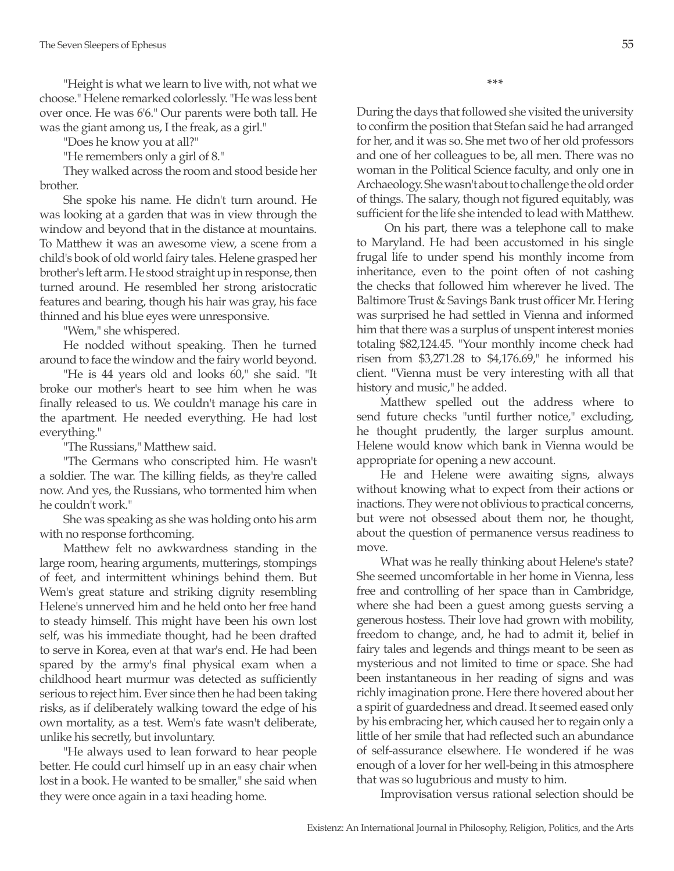"Height is what we learn to live with, not what we choose." Helene remarked colorlessly. "He was less bent over once. He was 6'6." Our parents were both tall. He was the giant among us, I the freak, as a girl."

"Does he know you at all?"

"He remembers only a girl of 8."

They walked across the room and stood beside her brother.

She spoke his name. He didn't turn around. He was looking at a garden that was in view through the window and beyond that in the distance at mountains. To Matthew it was an awesome view, a scene from a child's book of old world fairy tales. Helene grasped her brother's left arm. He stood straight up in response, then turned around. He resembled her strong aristocratic features and bearing, though his hair was gray, his face thinned and his blue eyes were unresponsive.

"Wem," she whispered.

He nodded without speaking. Then he turned around to face the window and the fairy world beyond.

"He is 44 years old and looks 60," she said. "It broke our mother's heart to see him when he was finally released to us. We couldn't manage his care in the apartment. He needed everything. He had lost everything."

"The Russians," Matthew said.

"The Germans who conscripted him. He wasn't a soldier. The war. The killing fields, as they're called now. And yes, the Russians, who tormented him when he couldn't work."

She was speaking as she was holding onto his arm with no response forthcoming.

Matthew felt no awkwardness standing in the large room, hearing arguments, mutterings, stompings of feet, and intermittent whinings behind them. But Wem's great stature and striking dignity resembling Helene's unnerved him and he held onto her free hand to steady himself. This might have been his own lost self, was his immediate thought, had he been drafted to serve in Korea, even at that war's end. He had been spared by the army's final physical exam when a childhood heart murmur was detected as sufficiently serious to reject him. Ever since then he had been taking risks, as if deliberately walking toward the edge of his own mortality, as a test. Wem's fate wasn't deliberate, unlike his secretly, but involuntary.

"He always used to lean forward to hear people better. He could curl himself up in an easy chair when lost in a book. He wanted to be smaller," she said when they were once again in a taxi heading home.

**\*\*\***

During the days that followed she visited the university to confirm the position that Stefan said he had arranged for her, and it was so. She met two of her old professors and one of her colleagues to be, all men. There was no woman in the Political Science faculty, and only one in Archaeology. She wasn't about to challenge the old order of things. The salary, though not figured equitably, was sufficient for the life she intended to lead with Matthew.

 On his part, there was a telephone call to make to Maryland. He had been accustomed in his single frugal life to under spend his monthly income from inheritance, even to the point often of not cashing the checks that followed him wherever he lived. The Baltimore Trust & Savings Bank trust officer Mr. Hering was surprised he had settled in Vienna and informed him that there was a surplus of unspent interest monies totaling \$82,124.45. "Your monthly income check had risen from \$3,271.28 to \$4,176.69," he informed his client. "Vienna must be very interesting with all that history and music," he added.

Matthew spelled out the address where to send future checks "until further notice," excluding, he thought prudently, the larger surplus amount. Helene would know which bank in Vienna would be appropriate for opening a new account.

He and Helene were awaiting signs, always without knowing what to expect from their actions or inactions. They were not oblivious to practical concerns, but were not obsessed about them nor, he thought, about the question of permanence versus readiness to move.

What was he really thinking about Helene's state? She seemed uncomfortable in her home in Vienna, less free and controlling of her space than in Cambridge, where she had been a guest among guests serving a generous hostess. Their love had grown with mobility, freedom to change, and, he had to admit it, belief in fairy tales and legends and things meant to be seen as mysterious and not limited to time or space. She had been instantaneous in her reading of signs and was richly imagination prone. Here there hovered about her a spirit of guardedness and dread. It seemed eased only by his embracing her, which caused her to regain only a little of her smile that had reflected such an abundance of self-assurance elsewhere. He wondered if he was enough of a lover for her well-being in this atmosphere that was so lugubrious and musty to him.

Improvisation versus rational selection should be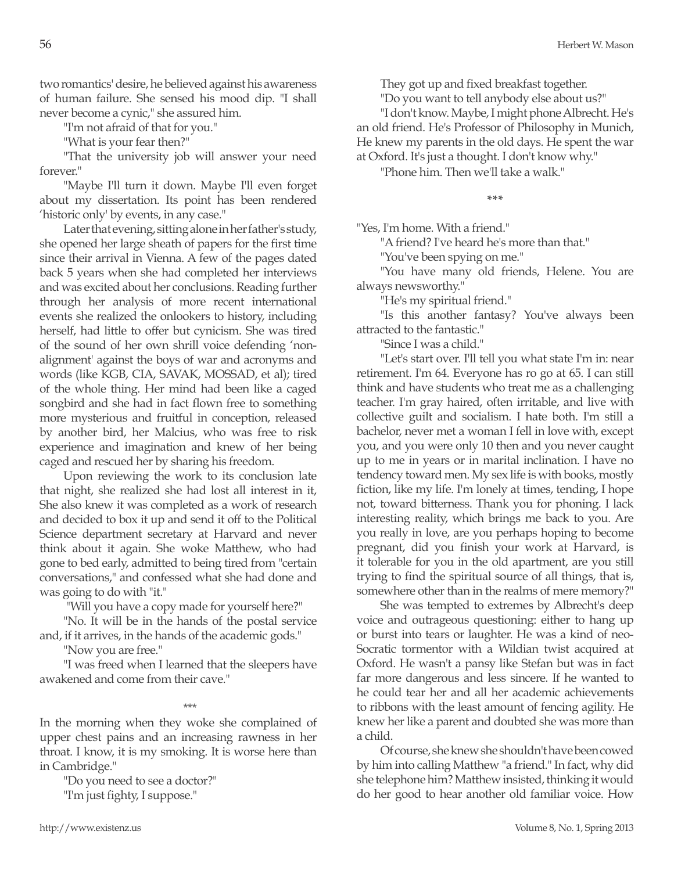two romantics' desire, he believed against his awareness of human failure. She sensed his mood dip. "I shall never become a cynic," she assured him.

"I'm not afraid of that for you."

"What is your fear then?"

"That the university job will answer your need forever."

"Maybe I'll turn it down. Maybe I'll even forget about my dissertation. Its point has been rendered 'historic only' by events, in any case."

Later that evening, sitting alone in her father's study, she opened her large sheath of papers for the first time since their arrival in Vienna. A few of the pages dated back 5 years when she had completed her interviews and was excited about her conclusions. Reading further through her analysis of more recent international events she realized the onlookers to history, including herself, had little to offer but cynicism. She was tired of the sound of her own shrill voice defending 'nonalignment' against the boys of war and acronyms and words (like KGB, CIA, SAVAK, MOSSAD, et al); tired of the whole thing. Her mind had been like a caged songbird and she had in fact flown free to something more mysterious and fruitful in conception, released by another bird, her Malcius, who was free to risk experience and imagination and knew of her being caged and rescued her by sharing his freedom.

Upon reviewing the work to its conclusion late that night, she realized she had lost all interest in it, She also knew it was completed as a work of research and decided to box it up and send it off to the Political Science department secretary at Harvard and never think about it again. She woke Matthew, who had gone to bed early, admitted to being tired from "certain conversations," and confessed what she had done and was going to do with "it."

"Will you have a copy made for yourself here?"

"No. It will be in the hands of the postal service and, if it arrives, in the hands of the academic gods."

"Now you are free."

"I was freed when I learned that the sleepers have awakened and come from their cave."

\*\*\*

In the morning when they woke she complained of upper chest pains and an increasing rawness in her throat. I know, it is my smoking. It is worse here than in Cambridge."

"Do you need to see a doctor?" "I'm just fighty, I suppose."

They got up and fixed breakfast together.

"Do you want to tell anybody else about us?"

"I don't know. Maybe, I might phone Albrecht. He's an old friend. He's Professor of Philosophy in Munich, He knew my parents in the old days. He spent the war at Oxford. It's just a thought. I don't know why."

"Phone him. Then we'll take a walk."

**\*\*\***

"Yes, I'm home. With a friend."

"A friend? I've heard he's more than that."

"You've been spying on me."

"You have many old friends, Helene. You are always newsworthy."

"He's my spiritual friend."

"Is this another fantasy? You've always been attracted to the fantastic."

"Since I was a child."

"Let's start over. I'll tell you what state I'm in: near retirement. I'm 64. Everyone has ro go at 65. I can still think and have students who treat me as a challenging teacher. I'm gray haired, often irritable, and live with collective guilt and socialism. I hate both. I'm still a bachelor, never met a woman I fell in love with, except you, and you were only 10 then and you never caught up to me in years or in marital inclination. I have no tendency toward men. My sex life is with books, mostly fiction, like my life. I'm lonely at times, tending, I hope not, toward bitterness. Thank you for phoning. I lack interesting reality, which brings me back to you. Are you really in love, are you perhaps hoping to become pregnant, did you finish your work at Harvard, is it tolerable for you in the old apartment, are you still trying to find the spiritual source of all things, that is, somewhere other than in the realms of mere memory?"

She was tempted to extremes by Albrecht's deep voice and outrageous questioning: either to hang up or burst into tears or laughter. He was a kind of neo-Socratic tormentor with a Wildian twist acquired at Oxford. He wasn't a pansy like Stefan but was in fact far more dangerous and less sincere. If he wanted to he could tear her and all her academic achievements to ribbons with the least amount of fencing agility. He knew her like a parent and doubted she was more than a child.

Of course, she knew she shouldn't have been cowed by him into calling Matthew "a friend." In fact, why did she telephone him? Matthew insisted, thinking it would do her good to hear another old familiar voice. How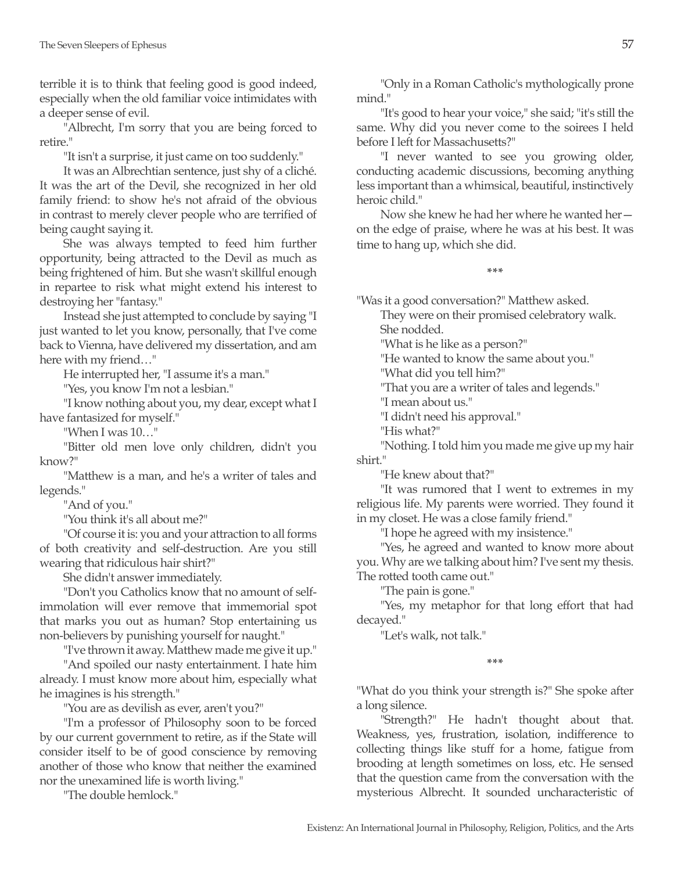terrible it is to think that feeling good is good indeed, especially when the old familiar voice intimidates with a deeper sense of evil.

"Albrecht, I'm sorry that you are being forced to retire."

"It isn't a surprise, it just came on too suddenly."

It was an Albrechtian sentence, just shy of a cliché. It was the art of the Devil, she recognized in her old family friend: to show he's not afraid of the obvious in contrast to merely clever people who are terrified of being caught saying it.

She was always tempted to feed him further opportunity, being attracted to the Devil as much as being frightened of him. But she wasn't skillful enough in repartee to risk what might extend his interest to destroying her "fantasy."

Instead she just attempted to conclude by saying "I just wanted to let you know, personally, that I've come back to Vienna, have delivered my dissertation, and am here with my friend…"

He interrupted her, "I assume it's a man."

"Yes, you know I'm not a lesbian."

"I know nothing about you, my dear, except what I have fantasized for myself."

"When I was 10…"

"Bitter old men love only children, didn't you know?"

"Matthew is a man, and he's a writer of tales and legends."

"And of you."

"You think it's all about me?"

"Of course it is: you and your attraction to all forms of both creativity and self-destruction. Are you still wearing that ridiculous hair shirt?"

She didn't answer immediately.

"Don't you Catholics know that no amount of selfimmolation will ever remove that immemorial spot that marks you out as human? Stop entertaining us non-believers by punishing yourself for naught."

"I've thrown it away. Matthew made me give it up."

"And spoiled our nasty entertainment. I hate him already. I must know more about him, especially what he imagines is his strength."

"You are as devilish as ever, aren't you?"

"I'm a professor of Philosophy soon to be forced by our current government to retire, as if the State will consider itself to be of good conscience by removing another of those who know that neither the examined nor the unexamined life is worth living."

"The double hemlock."

"Only in a Roman Catholic's mythologically prone mind."

"It's good to hear your voice," she said; "it's still the same. Why did you never come to the soirees I held before I left for Massachusetts?"

"I never wanted to see you growing older, conducting academic discussions, becoming anything less important than a whimsical, beautiful, instinctively heroic child."

Now she knew he had her where he wanted her on the edge of praise, where he was at his best. It was time to hang up, which she did.

**\*\*\***

"Was it a good conversation?" Matthew asked.

They were on their promised celebratory walk. She nodded.

"What is he like as a person?"

"He wanted to know the same about you."

"What did you tell him?"

"That you are a writer of tales and legends."

"I mean about us."

"I didn't need his approval."

"His what?"

"Nothing. I told him you made me give up my hair shirt."

"He knew about that?"

"It was rumored that I went to extremes in my religious life. My parents were worried. They found it in my closet. He was a close family friend."

"I hope he agreed with my insistence."

"Yes, he agreed and wanted to know more about you. Why are we talking about him? I've sent my thesis. The rotted tooth came out."

"The pain is gone."

"Yes, my metaphor for that long effort that had decayed."

"Let's walk, not talk."

**\*\*\***

"What do you think your strength is?" She spoke after a long silence.

"Strength?" He hadn't thought about that. Weakness, yes, frustration, isolation, indifference to collecting things like stuff for a home, fatigue from brooding at length sometimes on loss, etc. He sensed that the question came from the conversation with the mysterious Albrecht. It sounded uncharacteristic of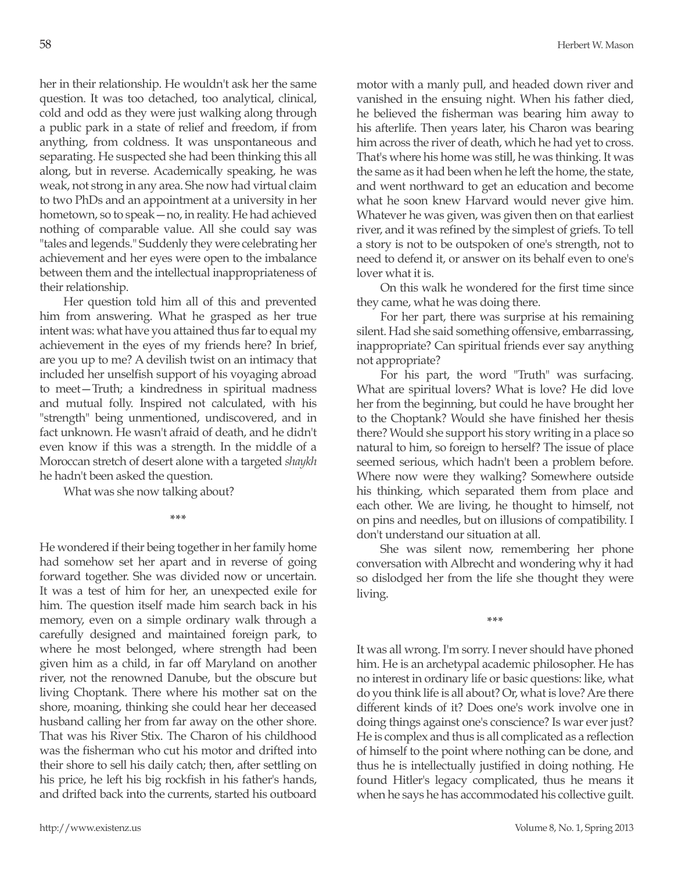her in their relationship. He wouldn't ask her the same question. It was too detached, too analytical, clinical, cold and odd as they were just walking along through a public park in a state of relief and freedom, if from anything, from coldness. It was unspontaneous and separating. He suspected she had been thinking this all along, but in reverse. Academically speaking, he was weak, not strong in any area. She now had virtual claim to two PhDs and an appointment at a university in her hometown, so to speak—no, in reality. He had achieved nothing of comparable value. All she could say was "tales and legends." Suddenly they were celebrating her achievement and her eyes were open to the imbalance between them and the intellectual inappropriateness of their relationship.

Her question told him all of this and prevented him from answering. What he grasped as her true intent was: what have you attained thus far to equal my achievement in the eyes of my friends here? In brief, are you up to me? A devilish twist on an intimacy that included her unselfish support of his voyaging abroad to meet—Truth; a kindredness in spiritual madness and mutual folly. Inspired not calculated, with his "strength" being unmentioned, undiscovered, and in fact unknown. He wasn't afraid of death, and he didn't even know if this was a strength. In the middle of a Moroccan stretch of desert alone with a targeted *shaykh* he hadn't been asked the question.

What was she now talking about?

**\*\*\***

He wondered if their being together in her family home had somehow set her apart and in reverse of going forward together. She was divided now or uncertain. It was a test of him for her, an unexpected exile for him. The question itself made him search back in his memory, even on a simple ordinary walk through a carefully designed and maintained foreign park, to where he most belonged, where strength had been given him as a child, in far off Maryland on another river, not the renowned Danube, but the obscure but living Choptank. There where his mother sat on the shore, moaning, thinking she could hear her deceased husband calling her from far away on the other shore. That was his River Stix. The Charon of his childhood was the fisherman who cut his motor and drifted into their shore to sell his daily catch; then, after settling on his price, he left his big rockfish in his father's hands, and drifted back into the currents, started his outboard motor with a manly pull, and headed down river and vanished in the ensuing night. When his father died, he believed the fisherman was bearing him away to his afterlife. Then years later, his Charon was bearing him across the river of death, which he had yet to cross. That's where his home was still, he was thinking. It was the same as it had been when he left the home, the state, and went northward to get an education and become what he soon knew Harvard would never give him. Whatever he was given, was given then on that earliest river, and it was refined by the simplest of griefs. To tell a story is not to be outspoken of one's strength, not to need to defend it, or answer on its behalf even to one's lover what it is.

On this walk he wondered for the first time since they came, what he was doing there.

For her part, there was surprise at his remaining silent. Had she said something offensive, embarrassing, inappropriate? Can spiritual friends ever say anything not appropriate?

For his part, the word "Truth" was surfacing. What are spiritual lovers? What is love? He did love her from the beginning, but could he have brought her to the Choptank? Would she have finished her thesis there? Would she support his story writing in a place so natural to him, so foreign to herself? The issue of place seemed serious, which hadn't been a problem before. Where now were they walking? Somewhere outside his thinking, which separated them from place and each other. We are living, he thought to himself, not on pins and needles, but on illusions of compatibility. I don't understand our situation at all.

She was silent now, remembering her phone conversation with Albrecht and wondering why it had so dislodged her from the life she thought they were living.

**\*\*\***

It was all wrong. I'm sorry. I never should have phoned him. He is an archetypal academic philosopher. He has no interest in ordinary life or basic questions: like, what do you think life is all about? Or, what is love? Are there different kinds of it? Does one's work involve one in doing things against one's conscience? Is war ever just? He is complex and thus is all complicated as a reflection of himself to the point where nothing can be done, and thus he is intellectually justified in doing nothing. He found Hitler's legacy complicated, thus he means it when he says he has accommodated his collective guilt.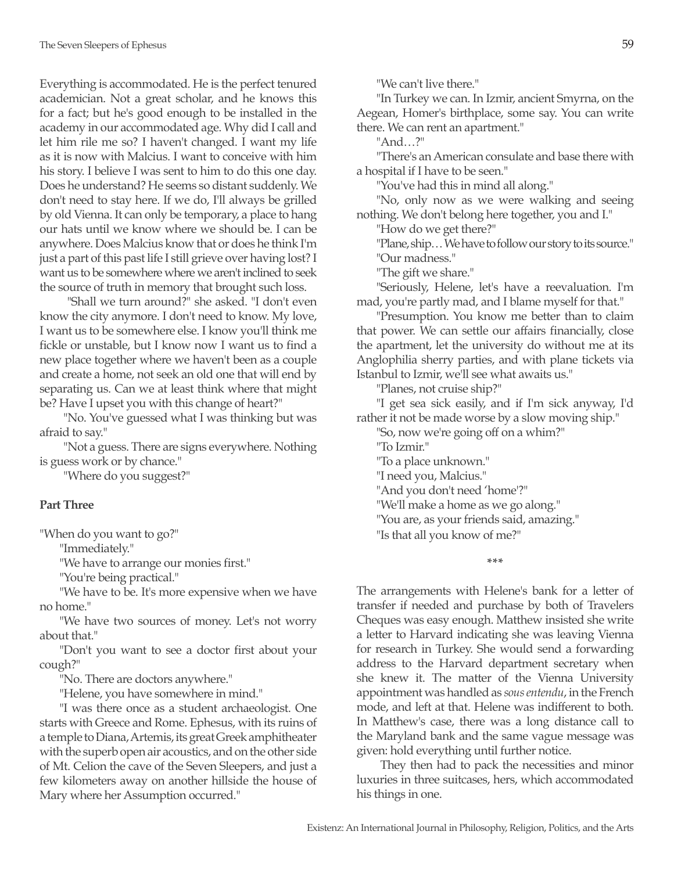Everything is accommodated. He is the perfect tenured academician. Not a great scholar, and he knows this for a fact; but he's good enough to be installed in the academy in our accommodated age. Why did I call and let him rile me so? I haven't changed. I want my life as it is now with Malcius. I want to conceive with him his story. I believe I was sent to him to do this one day. Does he understand? He seems so distant suddenly. We don't need to stay here. If we do, I'll always be grilled by old Vienna. It can only be temporary, a place to hang our hats until we know where we should be. I can be anywhere. Does Malcius know that or does he think I'm just a part of this past life I still grieve over having lost? I want us to be somewhere where we aren't inclined to seek the source of truth in memory that brought such loss.

 "Shall we turn around?" she asked. "I don't even know the city anymore. I don't need to know. My love, I want us to be somewhere else. I know you'll think me fickle or unstable, but I know now I want us to find a new place together where we haven't been as a couple and create a home, not seek an old one that will end by separating us. Can we at least think where that might be? Have I upset you with this change of heart?"

"No. You've guessed what I was thinking but was afraid to say."

"Not a guess. There are signs everywhere. Nothing is guess work or by chance."

"Where do you suggest?"

# **Part Three**

"When do you want to go?"

"Immediately."

"We have to arrange our monies first."

"You're being practical."

"We have to be. It's more expensive when we have no home."

"We have two sources of money. Let's not worry about that."

"Don't you want to see a doctor first about your cough?"

"No. There are doctors anywhere."

"Helene, you have somewhere in mind."

"I was there once as a student archaeologist. One starts with Greece and Rome. Ephesus, with its ruins of a temple to Diana, Artemis, its great Greek amphitheater with the superb open air acoustics, and on the other side of Mt. Celion the cave of the Seven Sleepers, and just a few kilometers away on another hillside the house of Mary where her Assumption occurred."

"We can't live there."

"In Turkey we can. In Izmir, ancient Smyrna, on the Aegean, Homer's birthplace, some say. You can write there. We can rent an apartment."

"And…?"

"There's an American consulate and base there with a hospital if I have to be seen."

"You've had this in mind all along."

"No, only now as we were walking and seeing nothing. We don't belong here together, you and I."

"How do we get there?"

"Plane, ship… We have to follow our story to its source." "Our madness."

"The gift we share."

"Seriously, Helene, let's have a reevaluation. I'm mad, you're partly mad, and I blame myself for that."

"Presumption. You know me better than to claim that power. We can settle our affairs financially, close the apartment, let the university do without me at its Anglophilia sherry parties, and with plane tickets via Istanbul to Izmir, we'll see what awaits us."

"Planes, not cruise ship?"

"I get sea sick easily, and if I'm sick anyway, I'd rather it not be made worse by a slow moving ship."

"So, now we're going off on a whim?"

"To Izmir."

"To a place unknown."

"I need you, Malcius."

"And you don't need 'home'?"

"We'll make a home as we go along."

"You are, as your friends said, amazing."

"Is that all you know of me?"

**\*\*\***

The arrangements with Helene's bank for a letter of transfer if needed and purchase by both of Travelers Cheques was easy enough. Matthew insisted she write a letter to Harvard indicating she was leaving Vienna for research in Turkey. She would send a forwarding address to the Harvard department secretary when she knew it. The matter of the Vienna University appointment was handled as *sous entendu*, in the French mode, and left at that. Helene was indifferent to both. In Matthew's case, there was a long distance call to the Maryland bank and the same vague message was given: hold everything until further notice.

They then had to pack the necessities and minor luxuries in three suitcases, hers, which accommodated his things in one.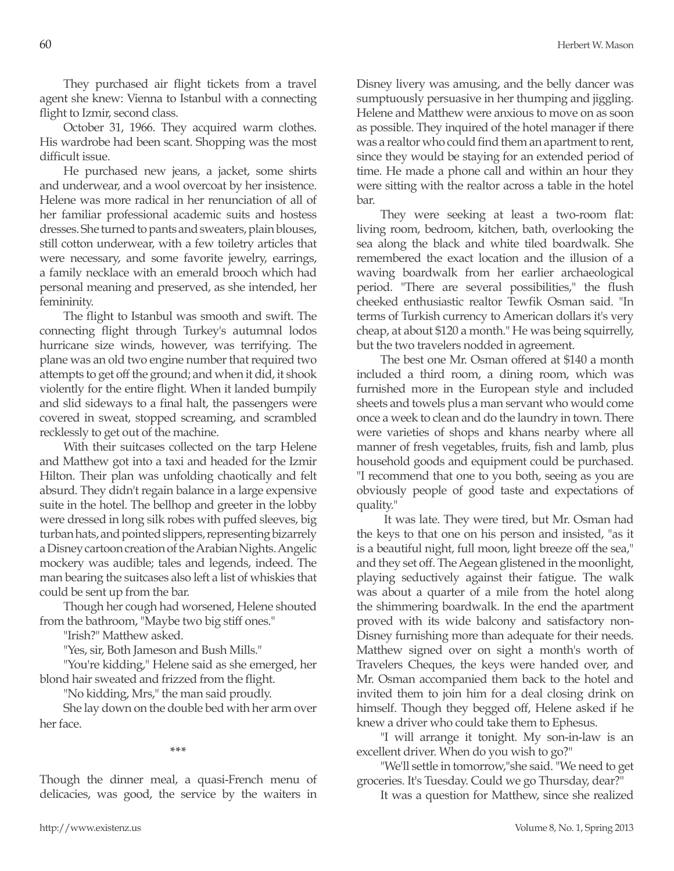They purchased air flight tickets from a travel agent she knew: Vienna to Istanbul with a connecting flight to Izmir, second class.

October 31, 1966. They acquired warm clothes. His wardrobe had been scant. Shopping was the most difficult issue.

He purchased new jeans, a jacket, some shirts and underwear, and a wool overcoat by her insistence. Helene was more radical in her renunciation of all of her familiar professional academic suits and hostess dresses. She turned to pants and sweaters, plain blouses, still cotton underwear, with a few toiletry articles that were necessary, and some favorite jewelry, earrings, a family necklace with an emerald brooch which had personal meaning and preserved, as she intended, her femininity.

The flight to Istanbul was smooth and swift. The connecting flight through Turkey's autumnal lodos hurricane size winds, however, was terrifying. The plane was an old two engine number that required two attempts to get off the ground; and when it did, it shook violently for the entire flight. When it landed bumpily and slid sideways to a final halt, the passengers were covered in sweat, stopped screaming, and scrambled recklessly to get out of the machine.

With their suitcases collected on the tarp Helene and Matthew got into a taxi and headed for the Izmir Hilton. Their plan was unfolding chaotically and felt absurd. They didn't regain balance in a large expensive suite in the hotel. The bellhop and greeter in the lobby were dressed in long silk robes with puffed sleeves, big turban hats, and pointed slippers, representing bizarrely a Disney cartoon creation of the Arabian Nights. Angelic mockery was audible; tales and legends, indeed. The man bearing the suitcases also left a list of whiskies that could be sent up from the bar.

Though her cough had worsened, Helene shouted from the bathroom, "Maybe two big stiff ones."

"Irish?" Matthew asked.

"Yes, sir, Both Jameson and Bush Mills."

"You're kidding," Helene said as she emerged, her blond hair sweated and frizzed from the flight.

"No kidding, Mrs," the man said proudly.

She lay down on the double bed with her arm over her face.

**\*\*\***

Though the dinner meal, a quasi-French menu of delicacies, was good, the service by the waiters in Disney livery was amusing, and the belly dancer was sumptuously persuasive in her thumping and jiggling. Helene and Matthew were anxious to move on as soon as possible. They inquired of the hotel manager if there was a realtor who could find them an apartment to rent, since they would be staying for an extended period of time. He made a phone call and within an hour they were sitting with the realtor across a table in the hotel bar.

They were seeking at least a two-room flat: living room, bedroom, kitchen, bath, overlooking the sea along the black and white tiled boardwalk. She remembered the exact location and the illusion of a waving boardwalk from her earlier archaeological period. "There are several possibilities," the flush cheeked enthusiastic realtor Tewfik Osman said. "In terms of Turkish currency to American dollars it's very cheap, at about \$120 a month." He was being squirrelly, but the two travelers nodded in agreement.

The best one Mr. Osman offered at \$140 a month included a third room, a dining room, which was furnished more in the European style and included sheets and towels plus a man servant who would come once a week to clean and do the laundry in town. There were varieties of shops and khans nearby where all manner of fresh vegetables, fruits, fish and lamb, plus household goods and equipment could be purchased. "I recommend that one to you both, seeing as you are obviously people of good taste and expectations of quality."

 It was late. They were tired, but Mr. Osman had the keys to that one on his person and insisted, "as it is a beautiful night, full moon, light breeze off the sea," and they set off. The Aegean glistened in the moonlight, playing seductively against their fatigue. The walk was about a quarter of a mile from the hotel along the shimmering boardwalk. In the end the apartment proved with its wide balcony and satisfactory non-Disney furnishing more than adequate for their needs. Matthew signed over on sight a month's worth of Travelers Cheques, the keys were handed over, and Mr. Osman accompanied them back to the hotel and invited them to join him for a deal closing drink on himself. Though they begged off, Helene asked if he knew a driver who could take them to Ephesus.

"I will arrange it tonight. My son-in-law is an excellent driver. When do you wish to go?"

"We'll settle in tomorrow,"she said. "We need to get groceries. It's Tuesday. Could we go Thursday, dear?"

It was a question for Matthew, since she realized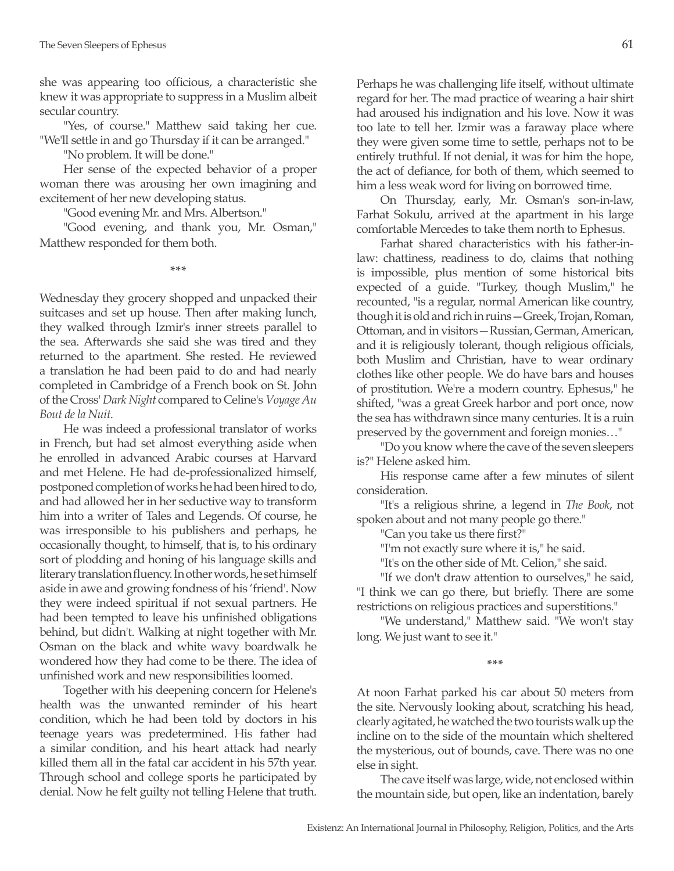she was appearing too officious, a characteristic she knew it was appropriate to suppress in a Muslim albeit secular country.

"Yes, of course." Matthew said taking her cue. "We'll settle in and go Thursday if it can be arranged."

"No problem. It will be done."

Her sense of the expected behavior of a proper woman there was arousing her own imagining and excitement of her new developing status.

"Good evening Mr. and Mrs. Albertson."

"Good evening, and thank you, Mr. Osman," Matthew responded for them both.

**\*\*\***

Wednesday they grocery shopped and unpacked their suitcases and set up house. Then after making lunch, they walked through Izmir's inner streets parallel to the sea. Afterwards she said she was tired and they returned to the apartment. She rested. He reviewed a translation he had been paid to do and had nearly completed in Cambridge of a French book on St. John of the Cross' *Dark Night* compared to Celine's *Voyage Au Bout de la Nuit*.

He was indeed a professional translator of works in French, but had set almost everything aside when he enrolled in advanced Arabic courses at Harvard and met Helene. He had de-professionalized himself, postponed completion of works he had been hired to do, and had allowed her in her seductive way to transform him into a writer of Tales and Legends. Of course, he was irresponsible to his publishers and perhaps, he occasionally thought, to himself, that is, to his ordinary sort of plodding and honing of his language skills and literary translation fluency. In other words, he set himself aside in awe and growing fondness of his 'friend'. Now they were indeed spiritual if not sexual partners. He had been tempted to leave his unfinished obligations behind, but didn't. Walking at night together with Mr. Osman on the black and white wavy boardwalk he wondered how they had come to be there. The idea of unfinished work and new responsibilities loomed.

Together with his deepening concern for Helene's health was the unwanted reminder of his heart condition, which he had been told by doctors in his teenage years was predetermined. His father had a similar condition, and his heart attack had nearly killed them all in the fatal car accident in his 57th year. Through school and college sports he participated by denial. Now he felt guilty not telling Helene that truth. Perhaps he was challenging life itself, without ultimate regard for her. The mad practice of wearing a hair shirt had aroused his indignation and his love. Now it was too late to tell her. Izmir was a faraway place where they were given some time to settle, perhaps not to be entirely truthful. If not denial, it was for him the hope, the act of defiance, for both of them, which seemed to him a less weak word for living on borrowed time.

On Thursday, early, Mr. Osman's son-in-law, Farhat Sokulu, arrived at the apartment in his large comfortable Mercedes to take them north to Ephesus.

Farhat shared characteristics with his father-inlaw: chattiness, readiness to do, claims that nothing is impossible, plus mention of some historical bits expected of a guide. "Turkey, though Muslim," he recounted, "is a regular, normal American like country, though it is old and rich in ruins—Greek, Trojan, Roman, Ottoman, and in visitors—Russian, German, American, and it is religiously tolerant, though religious officials, both Muslim and Christian, have to wear ordinary clothes like other people. We do have bars and houses of prostitution. We're a modern country. Ephesus," he shifted, "was a great Greek harbor and port once, now the sea has withdrawn since many centuries. It is a ruin preserved by the government and foreign monies…"

"Do you know where the cave of the seven sleepers is?" Helene asked him.

His response came after a few minutes of silent consideration.

"It's a religious shrine, a legend in *The Book*, not spoken about and not many people go there."

"Can you take us there first?"

"I'm not exactly sure where it is," he said.

"It's on the other side of Mt. Celion," she said.

"If we don't draw attention to ourselves," he said,

"I think we can go there, but briefly. There are some restrictions on religious practices and superstitions."

"We understand," Matthew said. "We won't stay long. We just want to see it."

**\*\*\***

At noon Farhat parked his car about 50 meters from the site. Nervously looking about, scratching his head, clearly agitated, he watched the two tourists walk up the incline on to the side of the mountain which sheltered the mysterious, out of bounds, cave. There was no one else in sight.

The cave itself was large, wide, not enclosed within the mountain side, but open, like an indentation, barely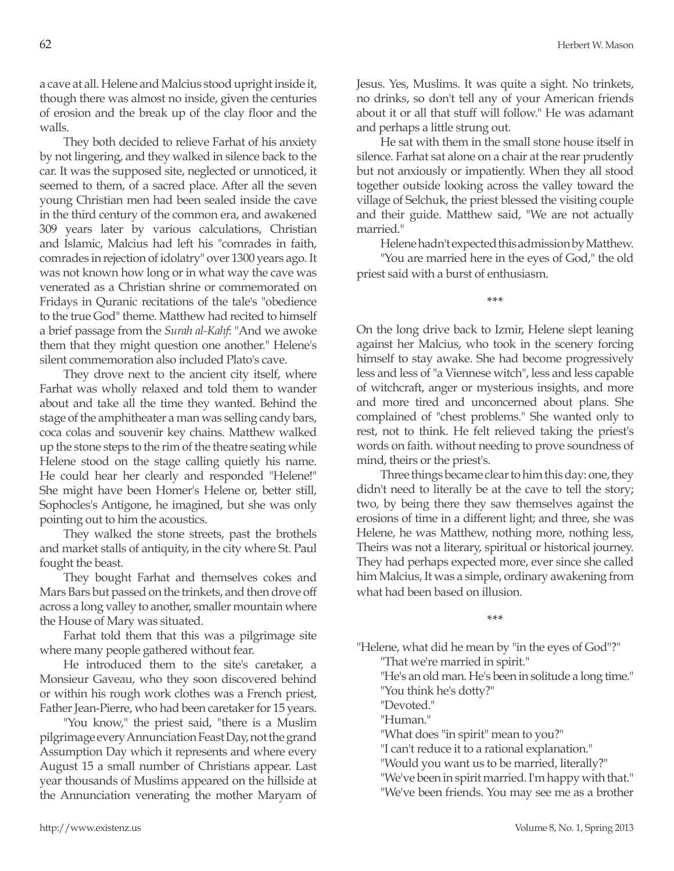a cave at all. Helene and Malcius stood upright inside it, though there was almost no inside, given the centuries of erosion and the break up of the clay floor and the walls.

They both decided to relieve Farhat of his anxiety by not lingering, and they walked in silence back to the car. It was the supposed site, neglected or unnoticed, it seemed to them, of a sacred place. After all the seven young Christian men had been sealed inside the cave in the third century of the common era, and awakened 309 years later by various calculations, Christian and Islamic, Malcius had left his "comrades in faith, comrades in rejection of idolatry" over 1300 years ago. It was not known how long or in what way the cave was venerated as a Christian shrine or commemorated on Fridays in Quranic recitations of the tale's "obedience to the true God" theme. Matthew had recited to himself a brief passage from the *Surah al-Kahf*: "And we awoke them that they might question one another." Helene's silent commemoration also included Plato's cave.

They drove next to the ancient city itself, where Farhat was wholly relaxed and told them to wander about and take all the time they wanted. Behind the stage of the amphitheater a man was selling candy bars, coca colas and souvenir key chains. Matthew walked up the stone steps to the rim of the theatre seating while Helene stood on the stage calling quietly his name. He could hear her clearly and responded "Helene!" She might have been Homer's Helene or, better still, Sophocles's Antigone, he imagined, but she was only pointing out to him the acoustics.

They walked the stone streets, past the brothels and market stalls of antiquity, in the city where St. Paul fought the beast.

They bought Farhat and themselves cokes and Mars Bars but passed on the trinkets, and then drove off across a long valley to another, smaller mountain where the House of Mary was situated.

Farhat told them that this was a pilgrimage site where many people gathered without fear.

He introduced them to the site's caretaker, a Monsieur Gaveau, who they soon discovered behind or within his rough work clothes was a French priest, Father Jean-Pierre, who had been caretaker for 15 years.

"You know," the priest said, "there is a Muslim pilgrimage every Annunciation Feast Day, not the grand Assumption Day which it represents and where every August 15 a small number of Christians appear. Last year thousands of Muslims appeared on the hillside at the Annunciation venerating the mother Maryam of Jesus. Yes, Muslims. It was quite a sight. No trinkets, no drinks, so don't tell any of your American friends about it or all that stuff will follow." He was adamant and perhaps a little strung out.

He sat with them in the small stone house itself in silence. Farhat sat alone on a chair at the rear prudently but not anxiously or impatiently. When they all stood together outside looking across the valley toward the village of Selchuk, the priest blessed the visiting couple and their guide. Matthew said, "We are not actually married."

Helene hadn't expected this admission by Matthew.

"You are married here in the eyes of God," the old priest said with a burst of enthusiasm.

**\*\*\***

On the long drive back to Izmir, Helene slept leaning against her Malcius, who took in the scenery forcing himself to stay awake. She had become progressively less and less of "a Viennese witch", less and less capable of witchcraft, anger or mysterious insights, and more and more tired and unconcerned about plans. She complained of "chest problems." She wanted only to rest, not to think. He felt relieved taking the priest's words on faith. without needing to prove soundness of mind, theirs or the priest's.

Three things became clear to him this day: one, they didn't need to literally be at the cave to tell the story; two, by being there they saw themselves against the erosions of time in a different light; and three, she was Helene, he was Matthew, nothing more, nothing less, Theirs was not a literary, spiritual or historical journey. They had perhaps expected more, ever since she called him Malcius, It was a simple, ordinary awakening from what had been based on illusion.

**\*\*\***

"Helene, what did he mean by "in the eyes of God"?"

"That we're married in spirit."

"He's an old man. He's been in solitude a long time."

"You think he's dotty?"

"Devoted."

"Human."

"What does "in spirit" mean to you?"

"I can't reduce it to a rational explanation."

"Would you want us to be married, literally?"

"We've been in spirit married. I'm happy with that." "We've been friends. You may see me as a brother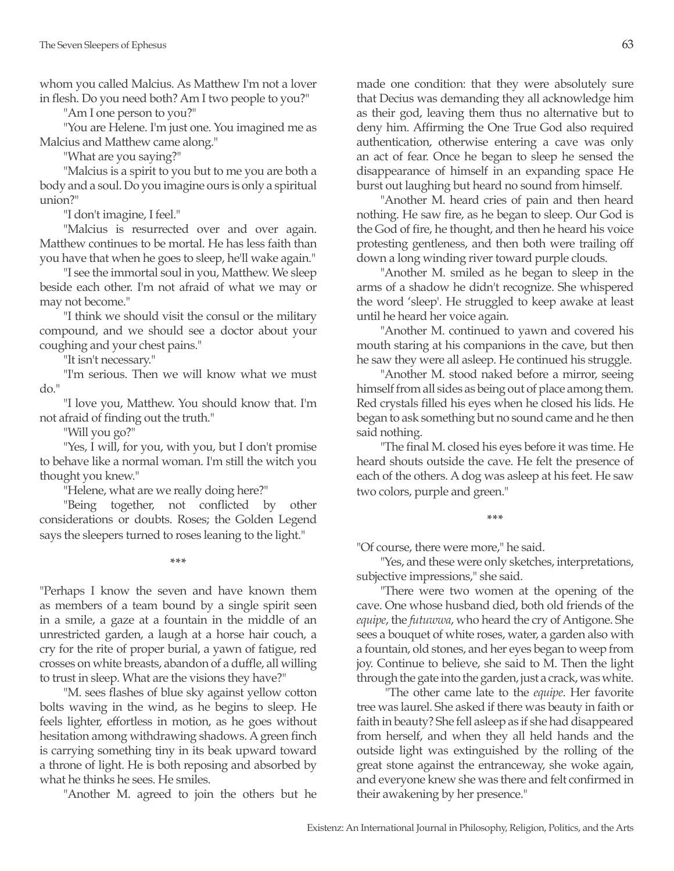whom you called Malcius. As Matthew I'm not a lover in flesh. Do you need both? Am I two people to you?"

"Am I one person to you?"

"You are Helene. I'm just one. You imagined me as Malcius and Matthew came along."

"What are you saying?"

"Malcius is a spirit to you but to me you are both a body and a soul. Do you imagine ours is only a spiritual union?"

"I don't imagine, I feel."

"Malcius is resurrected over and over again. Matthew continues to be mortal. He has less faith than you have that when he goes to sleep, he'll wake again."

"I see the immortal soul in you, Matthew. We sleep beside each other. I'm not afraid of what we may or may not become."

"I think we should visit the consul or the military compound, and we should see a doctor about your coughing and your chest pains."

"It isn't necessary."

"I'm serious. Then we will know what we must do."

"I love you, Matthew. You should know that. I'm not afraid of finding out the truth."

"Will you go?"

"Yes, I will, for you, with you, but I don't promise to behave like a normal woman. I'm still the witch you thought you knew."

"Helene, what are we really doing here?"

"Being together, not conflicted by other considerations or doubts. Roses; the Golden Legend says the sleepers turned to roses leaning to the light."

**\*\*\***

"Perhaps I know the seven and have known them as members of a team bound by a single spirit seen in a smile, a gaze at a fountain in the middle of an unrestricted garden, a laugh at a horse hair couch, a cry for the rite of proper burial, a yawn of fatigue, red crosses on white breasts, abandon of a duffle, all willing to trust in sleep. What are the visions they have?"

"M. sees flashes of blue sky against yellow cotton bolts waving in the wind, as he begins to sleep. He feels lighter, effortless in motion, as he goes without hesitation among withdrawing shadows. A green finch is carrying something tiny in its beak upward toward a throne of light. He is both reposing and absorbed by what he thinks he sees. He smiles.

"Another M. agreed to join the others but he

made one condition: that they were absolutely sure that Decius was demanding they all acknowledge him as their god, leaving them thus no alternative but to deny him. Affirming the One True God also required authentication, otherwise entering a cave was only an act of fear. Once he began to sleep he sensed the disappearance of himself in an expanding space He burst out laughing but heard no sound from himself.

"Another M. heard cries of pain and then heard nothing. He saw fire, as he began to sleep. Our God is the God of fire, he thought, and then he heard his voice protesting gentleness, and then both were trailing off down a long winding river toward purple clouds.

"Another M. smiled as he began to sleep in the arms of a shadow he didn't recognize. She whispered the word 'sleep'. He struggled to keep awake at least until he heard her voice again.

"Another M. continued to yawn and covered his mouth staring at his companions in the cave, but then he saw they were all asleep. He continued his struggle.

"Another M. stood naked before a mirror, seeing himself from all sides as being out of place among them. Red crystals filled his eyes when he closed his lids. He began to ask something but no sound came and he then said nothing.

"The final M. closed his eyes before it was time. He heard shouts outside the cave. He felt the presence of each of the others. A dog was asleep at his feet. He saw two colors, purple and green."

**\*\*\***

"Of course, there were more," he said.

"Yes, and these were only sketches, interpretations, subjective impressions," she said.

"There were two women at the opening of the cave. One whose husband died, both old friends of the *equipe*, the *futuwwa*, who heard the cry of Antigone. She sees a bouquet of white roses, water, a garden also with a fountain, old stones, and her eyes began to weep from joy. Continue to believe, she said to M. Then the light through the gate into the garden, just a crack, was white.

 "The other came late to the *equipe*. Her favorite tree was laurel. She asked if there was beauty in faith or faith in beauty? She fell asleep as if she had disappeared from herself, and when they all held hands and the outside light was extinguished by the rolling of the great stone against the entranceway, she woke again, and everyone knew she was there and felt confirmed in their awakening by her presence."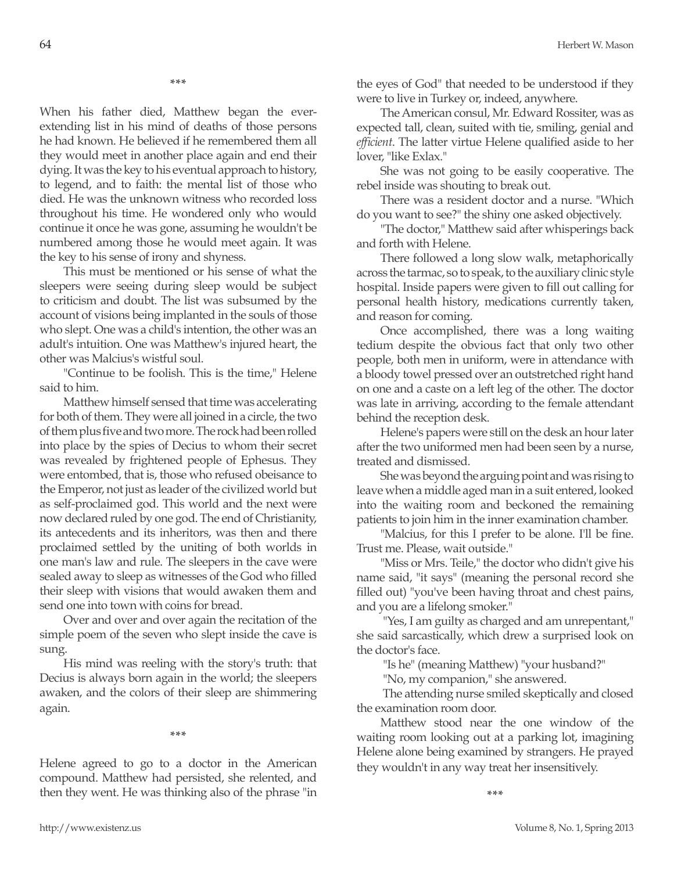When his father died, Matthew began the everextending list in his mind of deaths of those persons he had known. He believed if he remembered them all they would meet in another place again and end their dying. It was the key to his eventual approach to history, to legend, and to faith: the mental list of those who died. He was the unknown witness who recorded loss throughout his time. He wondered only who would continue it once he was gone, assuming he wouldn't be numbered among those he would meet again. It was the key to his sense of irony and shyness.

This must be mentioned or his sense of what the sleepers were seeing during sleep would be subject to criticism and doubt. The list was subsumed by the account of visions being implanted in the souls of those who slept. One was a child's intention, the other was an adult's intuition. One was Matthew's injured heart, the other was Malcius's wistful soul.

"Continue to be foolish. This is the time," Helene said to him.

Matthew himself sensed that time was accelerating for both of them. They were all joined in a circle, the two of them plus five and two more. The rock had been rolled into place by the spies of Decius to whom their secret was revealed by frightened people of Ephesus. They were entombed, that is, those who refused obeisance to the Emperor, not just as leader of the civilized world but as self-proclaimed god. This world and the next were now declared ruled by one god. The end of Christianity, its antecedents and its inheritors, was then and there proclaimed settled by the uniting of both worlds in one man's law and rule. The sleepers in the cave were sealed away to sleep as witnesses of the God who filled their sleep with visions that would awaken them and send one into town with coins for bread.

Over and over and over again the recitation of the simple poem of the seven who slept inside the cave is sung.

His mind was reeling with the story's truth: that Decius is always born again in the world; the sleepers awaken, and the colors of their sleep are shimmering again.

**\*\*\***

Helene agreed to go to a doctor in the American compound. Matthew had persisted, she relented, and then they went. He was thinking also of the phrase "in the eyes of God" that needed to be understood if they were to live in Turkey or, indeed, anywhere.

The American consul, Mr. Edward Rossiter, was as expected tall, clean, suited with tie, smiling, genial and *efficient*. The latter virtue Helene qualified aside to her lover, "like Exlax."

She was not going to be easily cooperative. The rebel inside was shouting to break out.

There was a resident doctor and a nurse. "Which do you want to see?" the shiny one asked objectively.

"The doctor," Matthew said after whisperings back and forth with Helene.

There followed a long slow walk, metaphorically across the tarmac, so to speak, to the auxiliary clinic style hospital. Inside papers were given to fill out calling for personal health history, medications currently taken, and reason for coming.

Once accomplished, there was a long waiting tedium despite the obvious fact that only two other people, both men in uniform, were in attendance with a bloody towel pressed over an outstretched right hand on one and a caste on a left leg of the other. The doctor was late in arriving, according to the female attendant behind the reception desk.

Helene's papers were still on the desk an hour later after the two uniformed men had been seen by a nurse, treated and dismissed.

She was beyond the arguing point and was rising to leave when a middle aged man in a suit entered, looked into the waiting room and beckoned the remaining patients to join him in the inner examination chamber.

"Malcius, for this I prefer to be alone. I'll be fine. Trust me. Please, wait outside."

"Miss or Mrs. Teile," the doctor who didn't give his name said, "it says" (meaning the personal record she filled out) "you've been having throat and chest pains, and you are a lifelong smoker."

 "Yes, I am guilty as charged and am unrepentant," she said sarcastically, which drew a surprised look on the doctor's face.

"Is he" (meaning Matthew) "your husband?"

"No, my companion," she answered.

 The attending nurse smiled skeptically and closed the examination room door.

Matthew stood near the one window of the waiting room looking out at a parking lot, imagining Helene alone being examined by strangers. He prayed they wouldn't in any way treat her insensitively.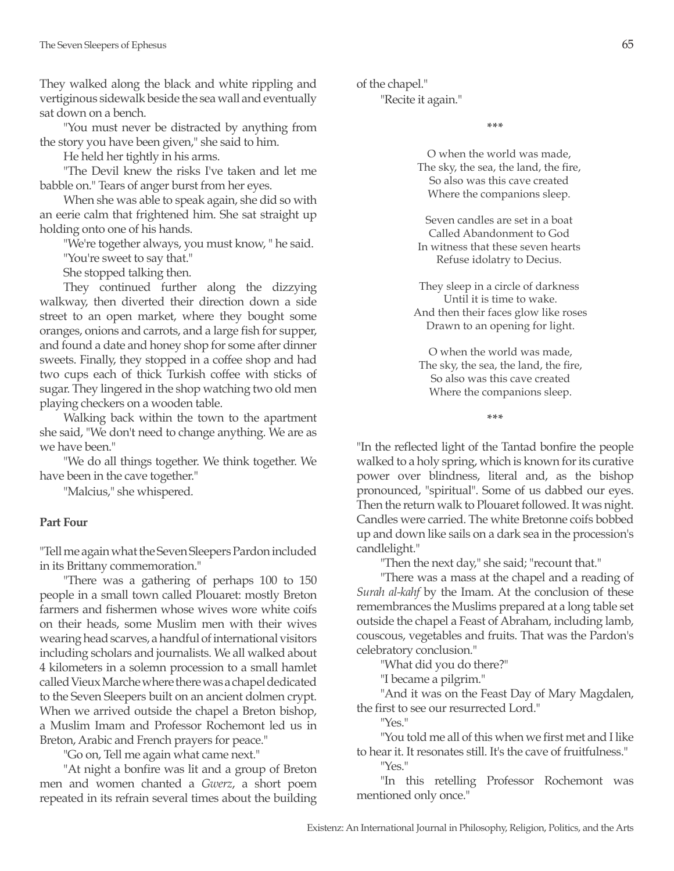They walked along the black and white rippling and vertiginous sidewalk beside the sea wall and eventually sat down on a bench.

"You must never be distracted by anything from the story you have been given," she said to him.

He held her tightly in his arms.

"The Devil knew the risks I've taken and let me babble on." Tears of anger burst from her eyes.

When she was able to speak again, she did so with an eerie calm that frightened him. She sat straight up holding onto one of his hands.

"We're together always, you must know, " he said.

"You're sweet to say that."

She stopped talking then.

They continued further along the dizzying walkway, then diverted their direction down a side street to an open market, where they bought some oranges, onions and carrots, and a large fish for supper, and found a date and honey shop for some after dinner sweets. Finally, they stopped in a coffee shop and had two cups each of thick Turkish coffee with sticks of sugar. They lingered in the shop watching two old men playing checkers on a wooden table.

Walking back within the town to the apartment she said, "We don't need to change anything. We are as we have been."

"We do all things together. We think together. We have been in the cave together."

"Malcius," she whispered.

#### **Part Four**

"Tell me again what the Seven Sleepers Pardon included in its Brittany commemoration."

"There was a gathering of perhaps 100 to 150 people in a small town called Plouaret: mostly Breton farmers and fishermen whose wives wore white coifs on their heads, some Muslim men with their wives wearing head scarves, a handful of international visitors including scholars and journalists. We all walked about 4 kilometers in a solemn procession to a small hamlet called Vieux Marche where there was a chapel dedicated to the Seven Sleepers built on an ancient dolmen crypt. When we arrived outside the chapel a Breton bishop, a Muslim Imam and Professor Rochemont led us in Breton, Arabic and French prayers for peace."

"Go on, Tell me again what came next."

"At night a bonfire was lit and a group of Breton men and women chanted a *Gwerz*, a short poem repeated in its refrain several times about the building of the chapel."

"Recite it again."

**\*\*\***

O when the world was made, The sky, the sea, the land, the fire, So also was this cave created Where the companions sleep.

Seven candles are set in a boat Called Abandonment to God In witness that these seven hearts Refuse idolatry to Decius.

They sleep in a circle of darkness Until it is time to wake. And then their faces glow like roses Drawn to an opening for light.

 O when the world was made, The sky, the sea, the land, the fire, So also was this cave created Where the companions sleep.

**\*\*\***

"In the reflected light of the Tantad bonfire the people walked to a holy spring, which is known for its curative power over blindness, literal and, as the bishop pronounced, "spiritual". Some of us dabbed our eyes. Then the return walk to Plouaret followed. It was night. Candles were carried. The white Bretonne coifs bobbed up and down like sails on a dark sea in the procession's candlelight."

"Then the next day," she said; "recount that."

"There was a mass at the chapel and a reading of *Surah al-kahf* by the Imam. At the conclusion of these remembrances the Muslims prepared at a long table set outside the chapel a Feast of Abraham, including lamb, couscous, vegetables and fruits. That was the Pardon's celebratory conclusion."

"What did you do there?"

"I became a pilgrim."

"And it was on the Feast Day of Mary Magdalen, the first to see our resurrected Lord."

"Yes."

"You told me all of this when we first met and I like to hear it. It resonates still. It's the cave of fruitfulness."

"Yes."

"In this retelling Professor Rochemont was mentioned only once."